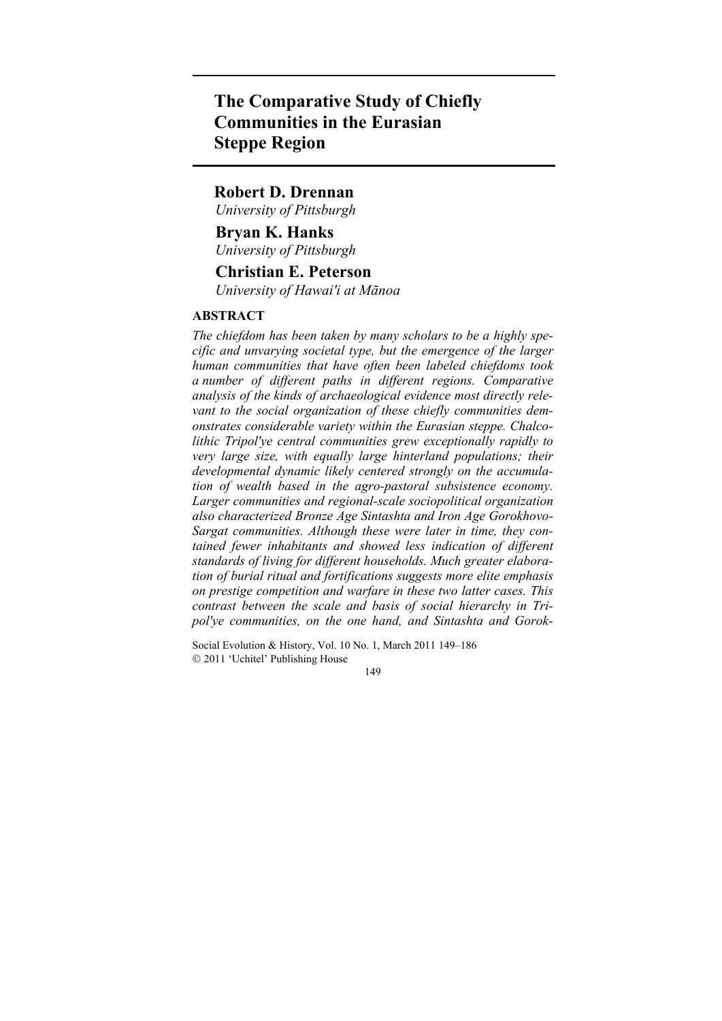# **The Comparative Study of Chiefly Communities in the Eurasian Steppe Region**

## **Robert D. Drennan**

*University of Pittsburgh* 

**Bryan K. Hanks**  *University of Pittsburgh*  **Christian E. Peterson** 

*University of Hawai'i at Mānoa* 

## **ABSTRACT**

*The chiefdom has been taken by many scholars to be a highly specific and unvarying societal type, but the emergence of the larger human communities that have often been labeled chiefdoms took a number of different paths in different regions. Comparative analysis of the kinds of archaeological evidence most directly relevant to the social organization of these chiefly communities demonstrates considerable variety within the Eurasian steppe. Chalcolithic Tripol'ye central communities grew exceptionally rapidly to very large size, with equally large hinterland populations; their developmental dynamic likely centered strongly on the accumulation of wealth based in the agro-pastoral subsistence economy. Larger communities and regional-scale sociopolitical organization also characterized Bronze Age Sintashta and Iron Age Gorokhovo-Sargat communities. Although these were later in time, they contained fewer inhabitants and showed less indication of different standards of living for different households. Much greater elaboration of burial ritual and fortifications suggests more elite emphasis on prestige competition and warfare in these two latter cases. This contrast between the scale and basis of social hierarchy in Tripol'ye communities, on the one hand, and Sintashta and Gorok-*

Social Evolution & History, Vol. 10 No. 1, March 2011 149–186 2011 'Uchitel' Publishing House

149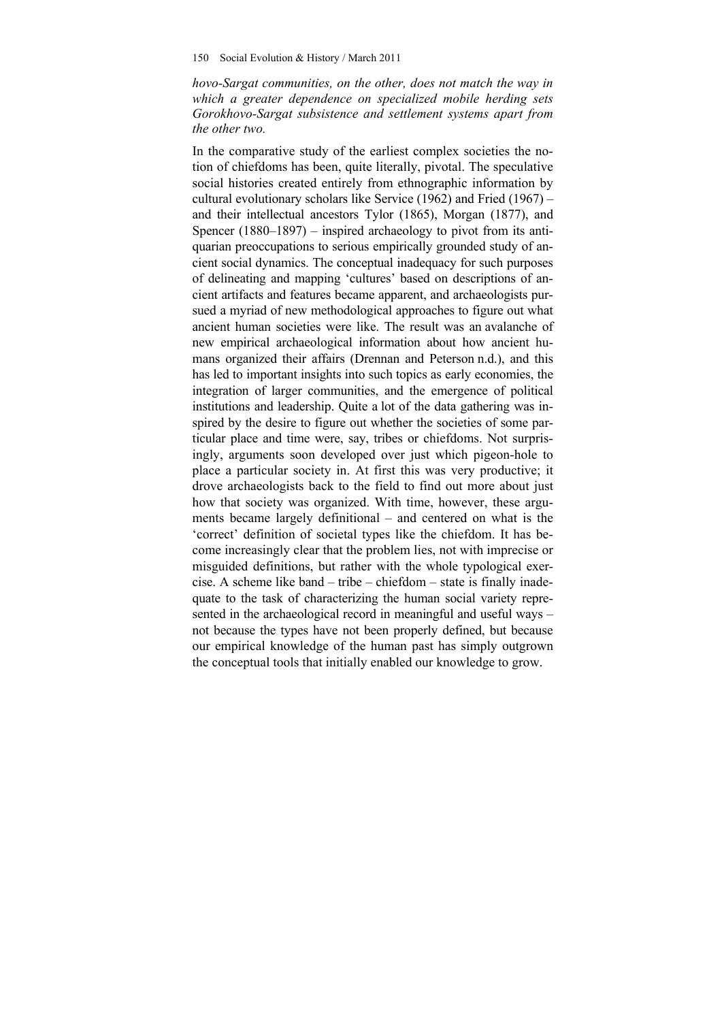150 Social Evolution & History / March 2011

*hovo-Sargat communities, on the other, does not match the way in which a greater dependence on specialized mobile herding sets Gorokhovo-Sargat subsistence and settlement systems apart from the other two.* 

In the comparative study of the earliest complex societies the notion of chiefdoms has been, quite literally, pivotal. The speculative social histories created entirely from ethnographic information by cultural evolutionary scholars like Service (1962) and Fried (1967) – and their intellectual ancestors Tylor (1865), Morgan (1877), and Spencer (1880–1897) – inspired archaeology to pivot from its antiquarian preoccupations to serious empirically grounded study of ancient social dynamics. The conceptual inadequacy for such purposes of delineating and mapping 'cultures' based on descriptions of ancient artifacts and features became apparent, and archaeologists pursued a myriad of new methodological approaches to figure out what ancient human societies were like. The result was an avalanche of new empirical archaeological information about how ancient humans organized their affairs (Drennan and Peterson n.d.), and this has led to important insights into such topics as early economies, the integration of larger communities, and the emergence of political institutions and leadership. Quite a lot of the data gathering was inspired by the desire to figure out whether the societies of some particular place and time were, say, tribes or chiefdoms. Not surprisingly, arguments soon developed over just which pigeon-hole to place a particular society in. At first this was very productive; it drove archaeologists back to the field to find out more about just how that society was organized. With time, however, these arguments became largely definitional – and centered on what is the 'correct' definition of societal types like the chiefdom. It has become increasingly clear that the problem lies, not with imprecise or misguided definitions, but rather with the whole typological exercise. A scheme like band – tribe – chiefdom – state is finally inadequate to the task of characterizing the human social variety represented in the archaeological record in meaningful and useful ways – not because the types have not been properly defined, but because our empirical knowledge of the human past has simply outgrown the conceptual tools that initially enabled our knowledge to grow.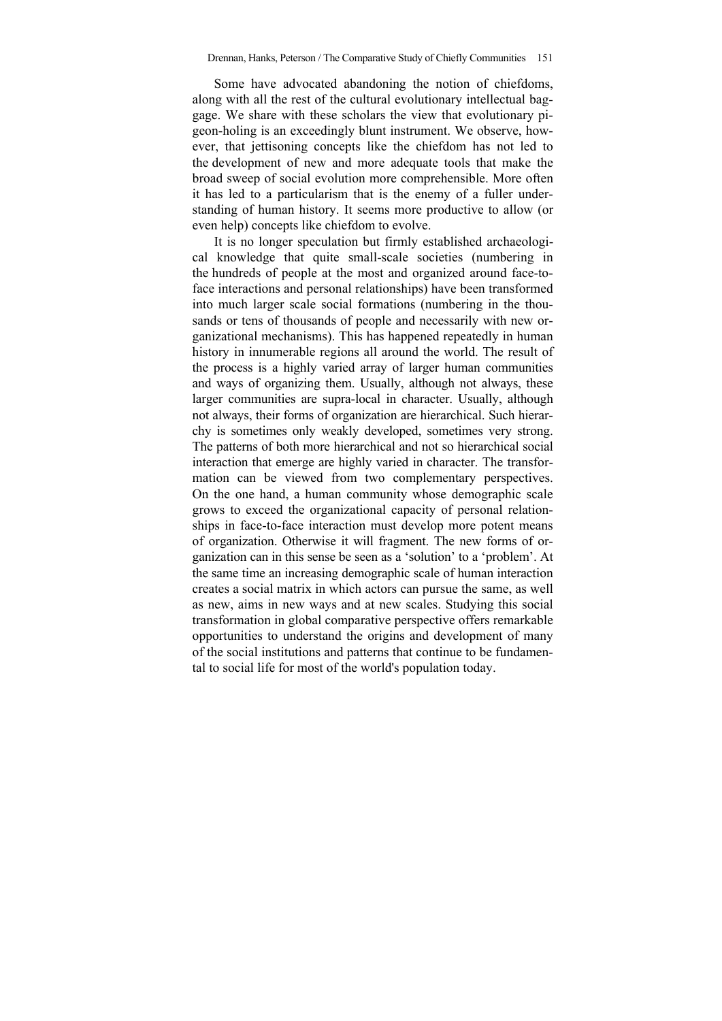Some have advocated abandoning the notion of chiefdoms, along with all the rest of the cultural evolutionary intellectual baggage. We share with these scholars the view that evolutionary pigeon-holing is an exceedingly blunt instrument. We observe, however, that jettisoning concepts like the chiefdom has not led to the development of new and more adequate tools that make the broad sweep of social evolution more comprehensible. More often it has led to a particularism that is the enemy of a fuller understanding of human history. It seems more productive to allow (or even help) concepts like chiefdom to evolve.

It is no longer speculation but firmly established archaeological knowledge that quite small-scale societies (numbering in the hundreds of people at the most and organized around face-toface interactions and personal relationships) have been transformed into much larger scale social formations (numbering in the thousands or tens of thousands of people and necessarily with new organizational mechanisms). This has happened repeatedly in human history in innumerable regions all around the world. The result of the process is a highly varied array of larger human communities and ways of organizing them. Usually, although not always, these larger communities are supra-local in character. Usually, although not always, their forms of organization are hierarchical. Such hierarchy is sometimes only weakly developed, sometimes very strong. The patterns of both more hierarchical and not so hierarchical social interaction that emerge are highly varied in character. The transformation can be viewed from two complementary perspectives. On the one hand, a human community whose demographic scale grows to exceed the organizational capacity of personal relationships in face-to-face interaction must develop more potent means of organization. Otherwise it will fragment. The new forms of organization can in this sense be seen as a 'solution' to a 'problem'. At the same time an increasing demographic scale of human interaction creates a social matrix in which actors can pursue the same, as well as new, aims in new ways and at new scales. Studying this social transformation in global comparative perspective offers remarkable opportunities to understand the origins and development of many of the social institutions and patterns that continue to be fundamental to social life for most of the world's population today.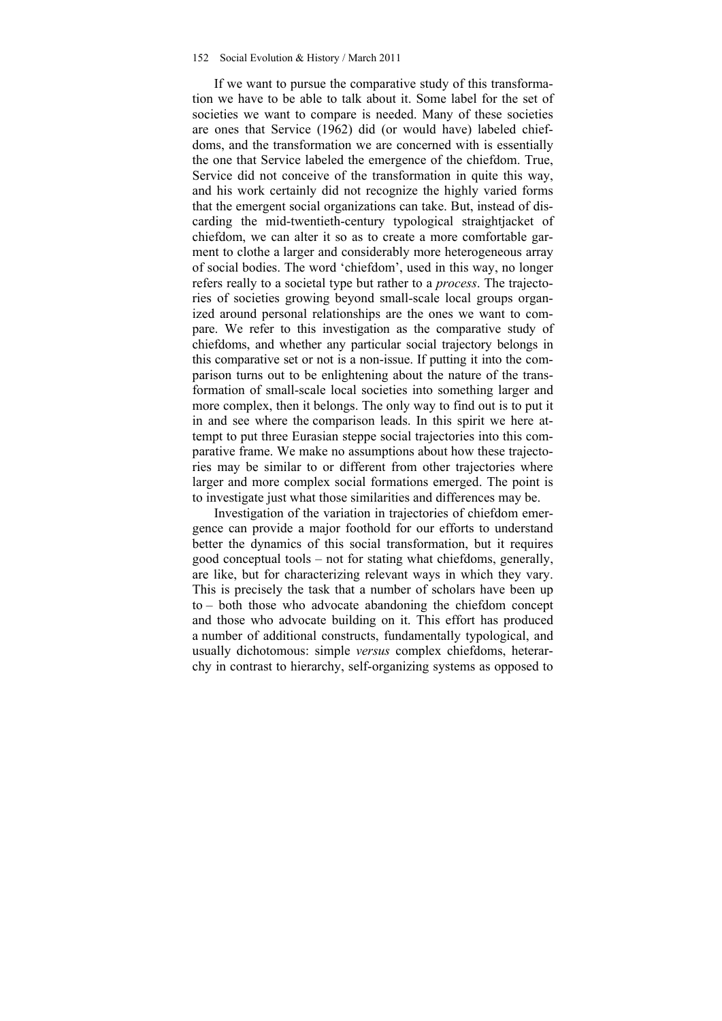If we want to pursue the comparative study of this transformation we have to be able to talk about it. Some label for the set of societies we want to compare is needed. Many of these societies are ones that Service (1962) did (or would have) labeled chiefdoms, and the transformation we are concerned with is essentially the one that Service labeled the emergence of the chiefdom. True, Service did not conceive of the transformation in quite this way, and his work certainly did not recognize the highly varied forms that the emergent social organizations can take. But, instead of discarding the mid-twentieth-century typological straightjacket of chiefdom, we can alter it so as to create a more comfortable garment to clothe a larger and considerably more heterogeneous array of social bodies. The word 'chiefdom', used in this way, no longer refers really to a societal type but rather to a *process*. The trajectories of societies growing beyond small-scale local groups organized around personal relationships are the ones we want to compare. We refer to this investigation as the comparative study of chiefdoms, and whether any particular social trajectory belongs in this comparative set or not is a non-issue. If putting it into the comparison turns out to be enlightening about the nature of the transformation of small-scale local societies into something larger and more complex, then it belongs. The only way to find out is to put it in and see where the comparison leads. In this spirit we here attempt to put three Eurasian steppe social trajectories into this comparative frame. We make no assumptions about how these trajectories may be similar to or different from other trajectories where larger and more complex social formations emerged. The point is to investigate just what those similarities and differences may be.

Investigation of the variation in trajectories of chiefdom emergence can provide a major foothold for our efforts to understand better the dynamics of this social transformation, but it requires good conceptual tools – not for stating what chiefdoms, generally, are like, but for characterizing relevant ways in which they vary. This is precisely the task that a number of scholars have been up to – both those who advocate abandoning the chiefdom concept and those who advocate building on it. This effort has produced a number of additional constructs, fundamentally typological, and usually dichotomous: simple *versus* complex chiefdoms, heterarchy in contrast to hierarchy, self-organizing systems as opposed to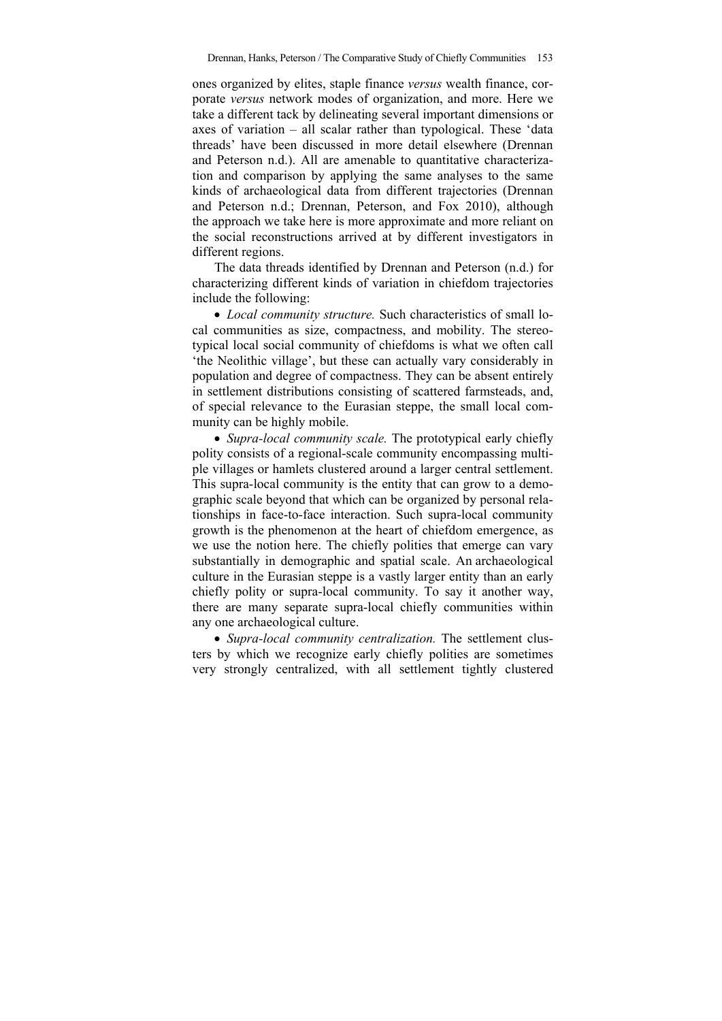ones organized by elites, staple finance *versus* wealth finance, corporate *versus* network modes of organization, and more. Here we take a different tack by delineating several important dimensions or axes of variation – all scalar rather than typological. These 'data threads' have been discussed in more detail elsewhere (Drennan and Peterson n.d.). All are amenable to quantitative characterization and comparison by applying the same analyses to the same kinds of archaeological data from different trajectories (Drennan and Peterson n.d.; Drennan, Peterson, and Fox 2010), although the approach we take here is more approximate and more reliant on the social reconstructions arrived at by different investigators in different regions.

The data threads identified by Drennan and Peterson (n.d.) for characterizing different kinds of variation in chiefdom trajectories include the following:

 *Local community structure.* Such characteristics of small local communities as size, compactness, and mobility. The stereotypical local social community of chiefdoms is what we often call 'the Neolithic village', but these can actually vary considerably in population and degree of compactness. They can be absent entirely in settlement distributions consisting of scattered farmsteads, and, of special relevance to the Eurasian steppe, the small local community can be highly mobile.

 *Supra-local community scale.* The prototypical early chiefly polity consists of a regional-scale community encompassing multiple villages or hamlets clustered around a larger central settlement. This supra-local community is the entity that can grow to a demographic scale beyond that which can be organized by personal relationships in face-to-face interaction. Such supra-local community growth is the phenomenon at the heart of chiefdom emergence, as we use the notion here. The chiefly polities that emerge can vary substantially in demographic and spatial scale. An archaeological culture in the Eurasian steppe is a vastly larger entity than an early chiefly polity or supra-local community. To say it another way, there are many separate supra-local chiefly communities within any one archaeological culture.

 *Supra-local community centralization.* The settlement clusters by which we recognize early chiefly polities are sometimes very strongly centralized, with all settlement tightly clustered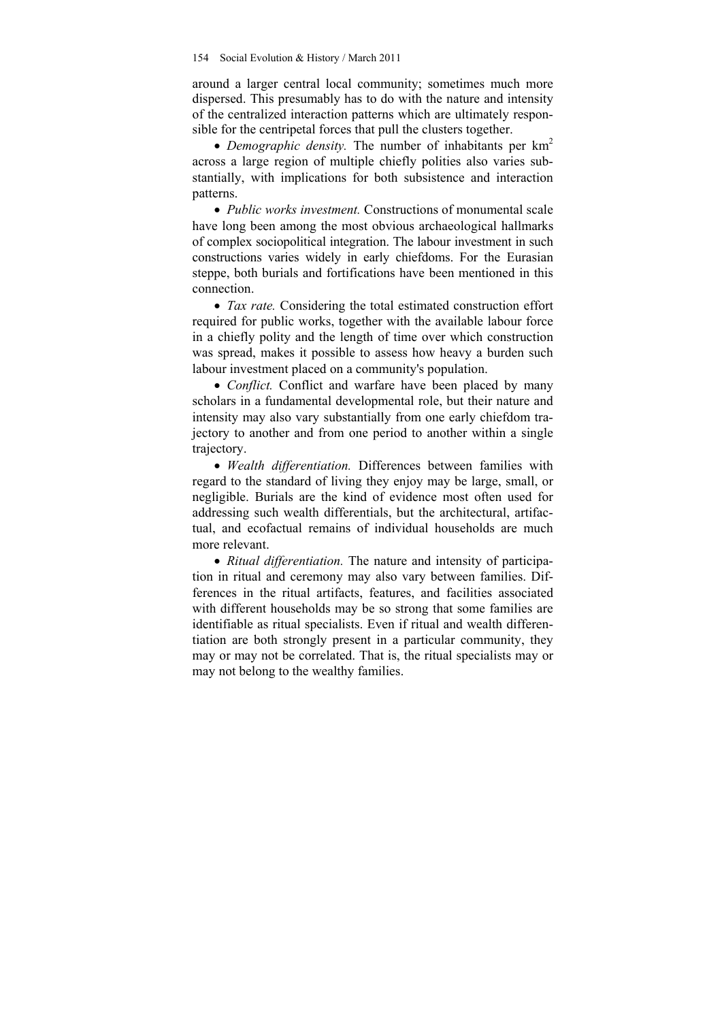around a larger central local community; sometimes much more dispersed. This presumably has to do with the nature and intensity of the centralized interaction patterns which are ultimately responsible for the centripetal forces that pull the clusters together.

• *Demographic density*. The number of inhabitants per  $km^2$ across a large region of multiple chiefly polities also varies substantially, with implications for both subsistence and interaction patterns.

 *Public works investment.* Constructions of monumental scale have long been among the most obvious archaeological hallmarks of complex sociopolitical integration. The labour investment in such constructions varies widely in early chiefdoms. For the Eurasian steppe, both burials and fortifications have been mentioned in this connection.

 *Tax rate.* Considering the total estimated construction effort required for public works, together with the available labour force in a chiefly polity and the length of time over which construction was spread, makes it possible to assess how heavy a burden such labour investment placed on a community's population.

 *Conflict.* Conflict and warfare have been placed by many scholars in a fundamental developmental role, but their nature and intensity may also vary substantially from one early chiefdom trajectory to another and from one period to another within a single trajectory.

 *Wealth differentiation.* Differences between families with regard to the standard of living they enjoy may be large, small, or negligible. Burials are the kind of evidence most often used for addressing such wealth differentials, but the architectural, artifactual, and ecofactual remains of individual households are much more relevant.

 *Ritual differentiation.* The nature and intensity of participation in ritual and ceremony may also vary between families. Differences in the ritual artifacts, features, and facilities associated with different households may be so strong that some families are identifiable as ritual specialists. Even if ritual and wealth differentiation are both strongly present in a particular community, they may or may not be correlated. That is, the ritual specialists may or may not belong to the wealthy families.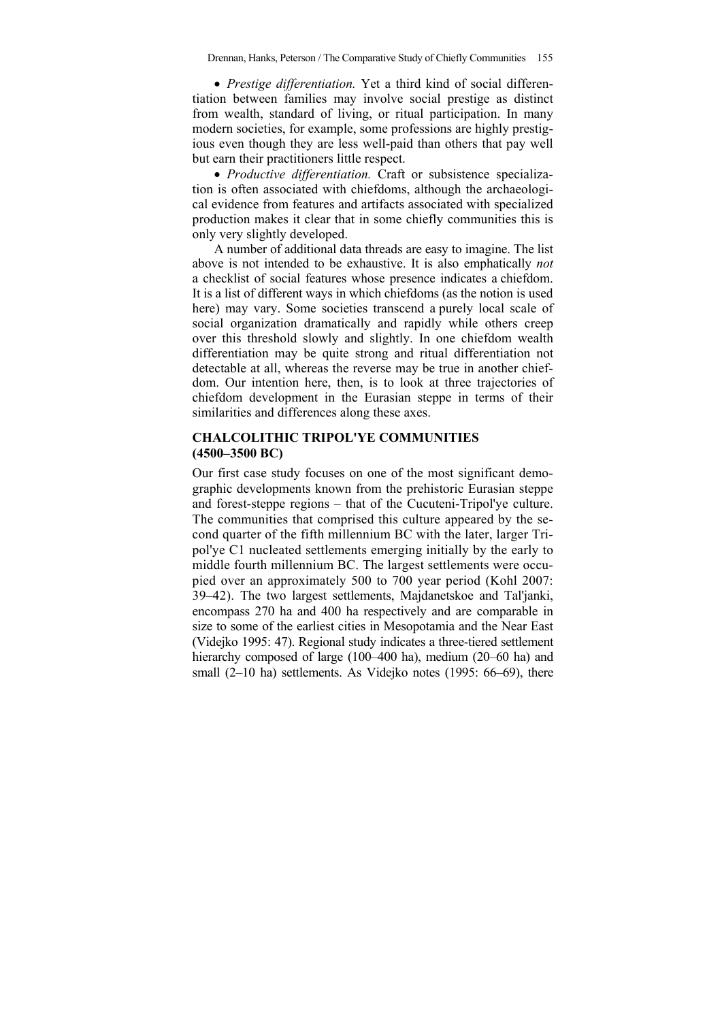*Prestige differentiation.* Yet a third kind of social differentiation between families may involve social prestige as distinct from wealth, standard of living, or ritual participation. In many modern societies, for example, some professions are highly prestigious even though they are less well-paid than others that pay well but earn their practitioners little respect.

 *Productive differentiation.* Craft or subsistence specialization is often associated with chiefdoms, although the archaeological evidence from features and artifacts associated with specialized production makes it clear that in some chiefly communities this is only very slightly developed.

A number of additional data threads are easy to imagine. The list above is not intended to be exhaustive. It is also emphatically *not* a checklist of social features whose presence indicates a chiefdom. It is a list of different ways in which chiefdoms (as the notion is used here) may vary. Some societies transcend a purely local scale of social organization dramatically and rapidly while others creep over this threshold slowly and slightly. In one chiefdom wealth differentiation may be quite strong and ritual differentiation not detectable at all, whereas the reverse may be true in another chiefdom. Our intention here, then, is to look at three trajectories of chiefdom development in the Eurasian steppe in terms of their similarities and differences along these axes.

## **CHALCOLITHIC TRIPOL'YE COMMUNITIES (4500–3500 BC)**

Our first case study focuses on one of the most significant demographic developments known from the prehistoric Eurasian steppe and forest-steppe regions – that of the Cucuteni-Tripol'ye culture. The communities that comprised this culture appeared by the second quarter of the fifth millennium BC with the later, larger Tripol'ye C1 nucleated settlements emerging initially by the early to middle fourth millennium BC. The largest settlements were occupied over an approximately 500 to 700 year period (Kohl 2007: 39–42). The two largest settlements, Majdanetskoe and Tal'janki, encompass 270 ha and 400 ha respectively and are comparable in size to some of the earliest cities in Mesopotamia and the Near East (Videjko 1995: 47). Regional study indicates a three-tiered settlement hierarchy composed of large (100–400 ha), medium (20–60 ha) and small (2–10 ha) settlements. As Videjko notes (1995: 66–69), there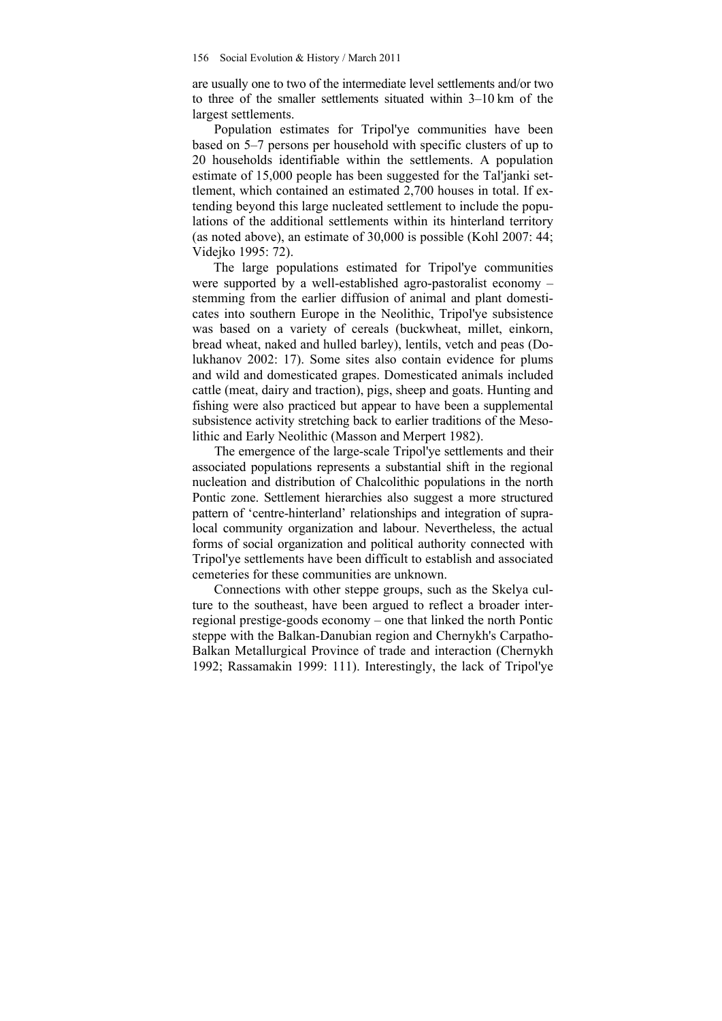are usually one to two of the intermediate level settlements and/or two to three of the smaller settlements situated within 3–10 km of the largest settlements.

Population estimates for Tripol'ye communities have been based on 5–7 persons per household with specific clusters of up to 20 households identifiable within the settlements. A population estimate of 15,000 people has been suggested for the Tal'janki settlement, which contained an estimated 2,700 houses in total. If extending beyond this large nucleated settlement to include the populations of the additional settlements within its hinterland territory (as noted above), an estimate of 30,000 is possible (Kohl 2007: 44; Videjko 1995: 72).

The large populations estimated for Tripol'ye communities were supported by a well-established agro-pastoralist economy – stemming from the earlier diffusion of animal and plant domesticates into southern Europe in the Neolithic, Tripol'ye subsistence was based on a variety of cereals (buckwheat, millet, einkorn, bread wheat, naked and hulled barley), lentils, vetch and peas (Dolukhanov 2002: 17). Some sites also contain evidence for plums and wild and domesticated grapes. Domesticated animals included cattle (meat, dairy and traction), pigs, sheep and goats. Hunting and fishing were also practiced but appear to have been a supplemental subsistence activity stretching back to earlier traditions of the Mesolithic and Early Neolithic (Masson and Merpert 1982).

The emergence of the large-scale Tripol'ye settlements and their associated populations represents a substantial shift in the regional nucleation and distribution of Chalcolithic populations in the north Pontic zone. Settlement hierarchies also suggest a more structured pattern of 'centre-hinterland' relationships and integration of supralocal community organization and labour. Nevertheless, the actual forms of social organization and political authority connected with Tripol'ye settlements have been difficult to establish and associated cemeteries for these communities are unknown.

Connections with other steppe groups, such as the Skelya culture to the southeast, have been argued to reflect a broader interregional prestige-goods economy – one that linked the north Pontic steppe with the Balkan-Danubian region and Chernykh's Carpatho-Balkan Metallurgical Province of trade and interaction (Chernykh 1992; Rassamakin 1999: 111). Interestingly, the lack of Tripol'ye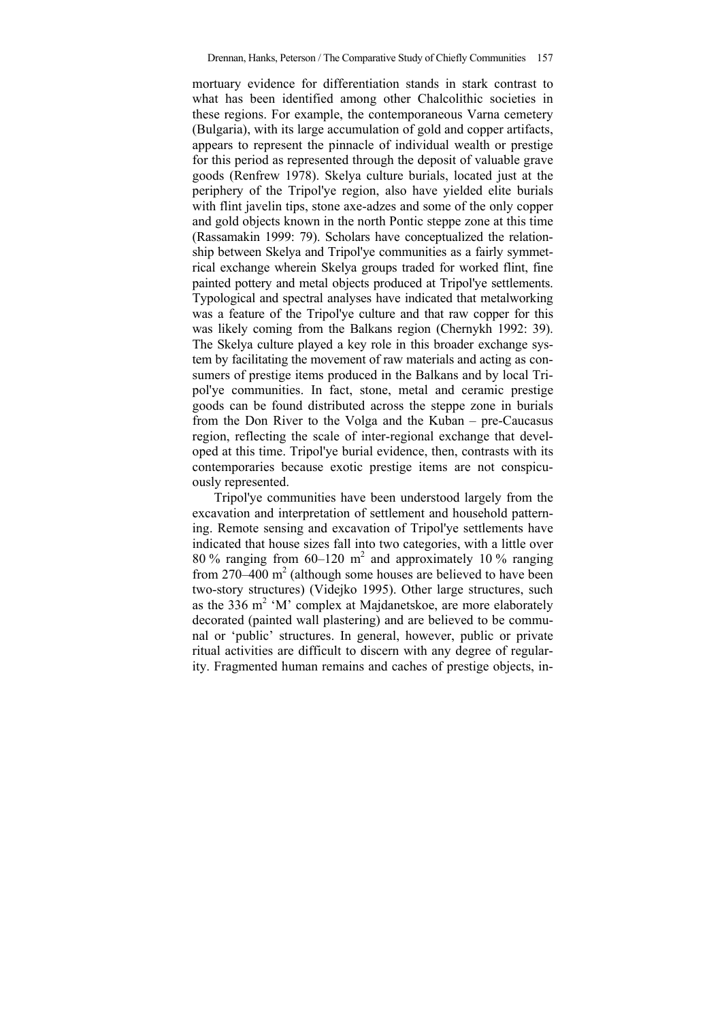mortuary evidence for differentiation stands in stark contrast to what has been identified among other Chalcolithic societies in these regions. For example, the contemporaneous Varna cemetery (Bulgaria), with its large accumulation of gold and copper artifacts, appears to represent the pinnacle of individual wealth or prestige for this period as represented through the deposit of valuable grave goods (Renfrew 1978). Skelya culture burials, located just at the periphery of the Tripol'ye region, also have yielded elite burials with flint javelin tips, stone axe-adzes and some of the only copper and gold objects known in the north Pontic steppe zone at this time (Rassamakin 1999: 79). Scholars have conceptualized the relationship between Skelya and Tripol'ye communities as a fairly symmetrical exchange wherein Skelya groups traded for worked flint, fine painted pottery and metal objects produced at Tripol'ye settlements. Typological and spectral analyses have indicated that metalworking was a feature of the Tripol'ye culture and that raw copper for this was likely coming from the Balkans region (Chernykh 1992: 39). The Skelya culture played a key role in this broader exchange system by facilitating the movement of raw materials and acting as consumers of prestige items produced in the Balkans and by local Tripol'ye communities. In fact, stone, metal and ceramic prestige goods can be found distributed across the steppe zone in burials from the Don River to the Volga and the Kuban – pre-Caucasus region, reflecting the scale of inter-regional exchange that developed at this time. Tripol'ye burial evidence, then, contrasts with its contemporaries because exotic prestige items are not conspicuously represented.

Tripol'ye communities have been understood largely from the excavation and interpretation of settlement and household patterning. Remote sensing and excavation of Tripol'ye settlements have indicated that house sizes fall into two categories, with a little over 80 % ranging from  $60-120$  m<sup>2</sup> and approximately 10 % ranging from 270–400 m<sup>2</sup> (although some houses are believed to have been two-story structures) (Videjko 1995). Other large structures, such as the  $336 \text{ m}^2$  'M' complex at Majdanetskoe, are more elaborately decorated (painted wall plastering) and are believed to be communal or 'public' structures. In general, however, public or private ritual activities are difficult to discern with any degree of regularity. Fragmented human remains and caches of prestige objects, in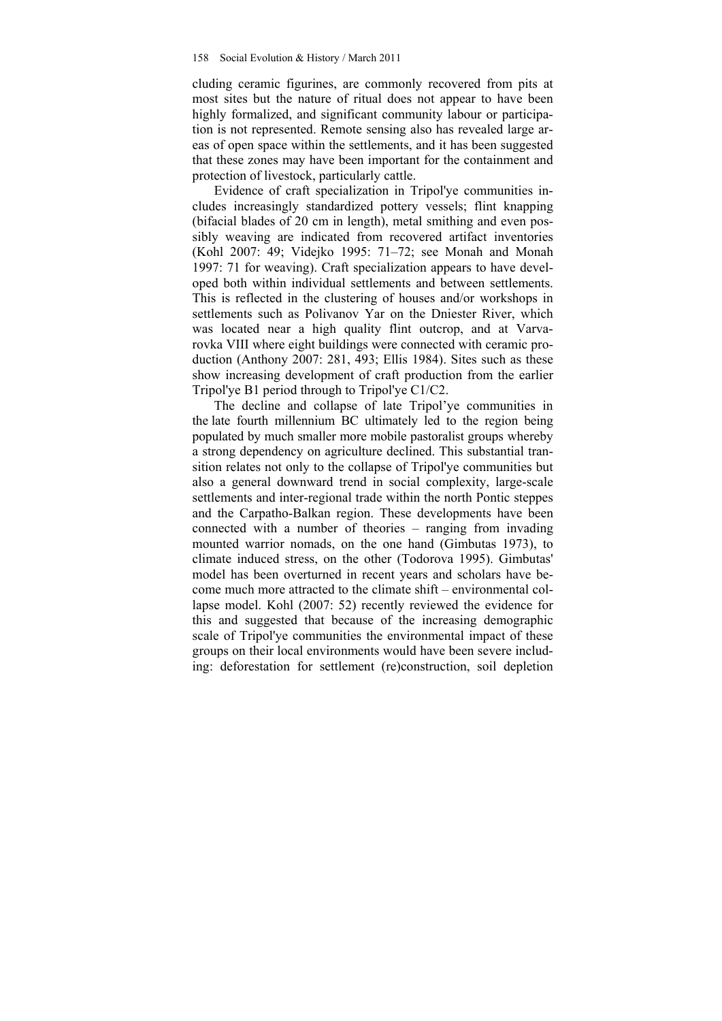cluding ceramic figurines, are commonly recovered from pits at most sites but the nature of ritual does not appear to have been highly formalized, and significant community labour or participation is not represented. Remote sensing also has revealed large areas of open space within the settlements, and it has been suggested that these zones may have been important for the containment and protection of livestock, particularly cattle.

Evidence of craft specialization in Tripol'ye communities includes increasingly standardized pottery vessels; flint knapping (bifacial blades of 20 cm in length), metal smithing and even possibly weaving are indicated from recovered artifact inventories (Kohl 2007: 49; Videjko 1995: 71–72; see Monah and Monah 1997: 71 for weaving). Craft specialization appears to have developed both within individual settlements and between settlements. This is reflected in the clustering of houses and/or workshops in settlements such as Polivanov Yar on the Dniester River, which was located near a high quality flint outcrop, and at Varvarovka VIII where eight buildings were connected with ceramic production (Anthony 2007: 281, 493; Ellis 1984). Sites such as these show increasing development of craft production from the earlier Tripol'ye B1 period through to Tripol'ye C1/C2.

The decline and collapse of late Tripol'ye communities in the late fourth millennium BC ultimately led to the region being populated by much smaller more mobile pastoralist groups whereby a strong dependency on agriculture declined. This substantial transition relates not only to the collapse of Tripol'ye communities but also a general downward trend in social complexity, large-scale settlements and inter-regional trade within the north Pontic steppes and the Carpatho-Balkan region. These developments have been connected with a number of theories – ranging from invading mounted warrior nomads, on the one hand (Gimbutas 1973), to climate induced stress, on the other (Todorova 1995). Gimbutas' model has been overturned in recent years and scholars have become much more attracted to the climate shift – environmental collapse model. Kohl (2007: 52) recently reviewed the evidence for this and suggested that because of the increasing demographic scale of Tripol'ye communities the environmental impact of these groups on their local environments would have been severe including: deforestation for settlement (re)construction, soil depletion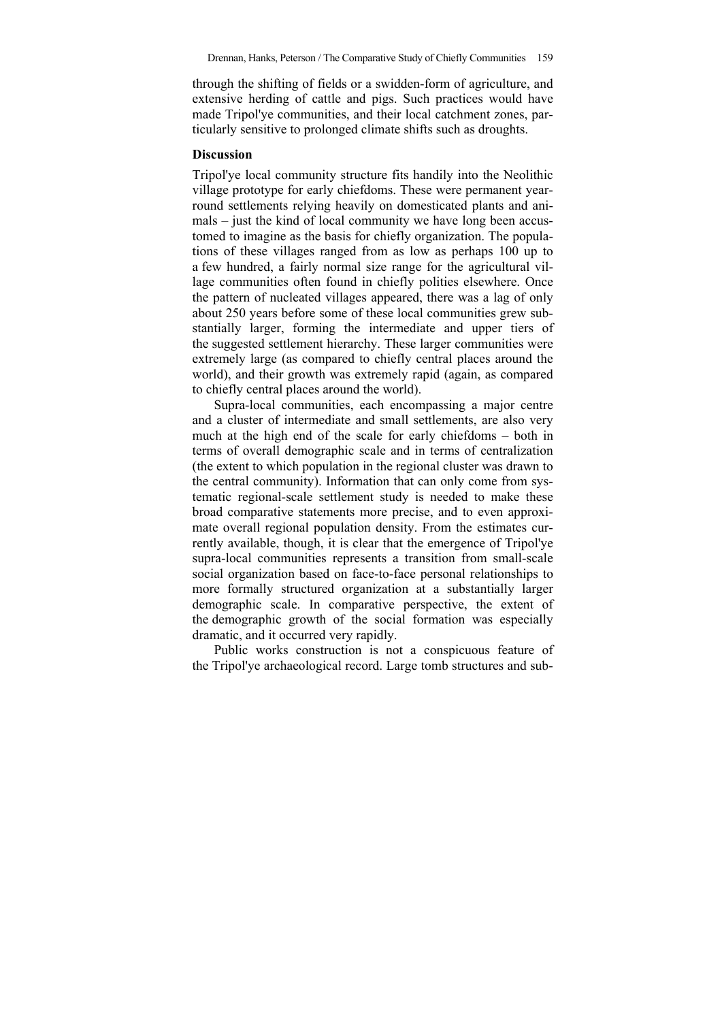through the shifting of fields or a swidden-form of agriculture, and extensive herding of cattle and pigs. Such practices would have made Tripol'ye communities, and their local catchment zones, particularly sensitive to prolonged climate shifts such as droughts.

#### **Discussion**

Tripol'ye local community structure fits handily into the Neolithic village prototype for early chiefdoms. These were permanent yearround settlements relying heavily on domesticated plants and animals – just the kind of local community we have long been accustomed to imagine as the basis for chiefly organization. The populations of these villages ranged from as low as perhaps 100 up to a few hundred, a fairly normal size range for the agricultural village communities often found in chiefly polities elsewhere. Once the pattern of nucleated villages appeared, there was a lag of only about 250 years before some of these local communities grew substantially larger, forming the intermediate and upper tiers of the suggested settlement hierarchy. These larger communities were extremely large (as compared to chiefly central places around the world), and their growth was extremely rapid (again, as compared to chiefly central places around the world).

Supra-local communities, each encompassing a major centre and a cluster of intermediate and small settlements, are also very much at the high end of the scale for early chiefdoms – both in terms of overall demographic scale and in terms of centralization (the extent to which population in the regional cluster was drawn to the central community). Information that can only come from systematic regional-scale settlement study is needed to make these broad comparative statements more precise, and to even approximate overall regional population density. From the estimates currently available, though, it is clear that the emergence of Tripol'ye supra-local communities represents a transition from small-scale social organization based on face-to-face personal relationships to more formally structured organization at a substantially larger demographic scale. In comparative perspective, the extent of the demographic growth of the social formation was especially dramatic, and it occurred very rapidly.

Public works construction is not a conspicuous feature of the Tripol'ye archaeological record. Large tomb structures and sub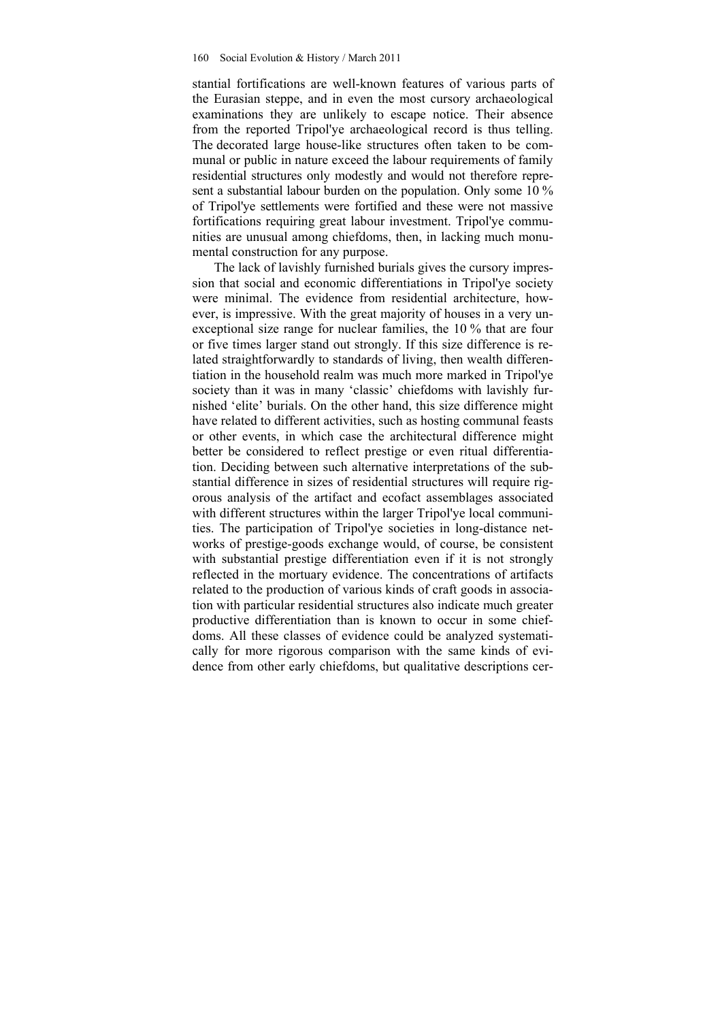stantial fortifications are well-known features of various parts of the Eurasian steppe, and in even the most cursory archaeological examinations they are unlikely to escape notice. Their absence from the reported Tripol'ye archaeological record is thus telling. The decorated large house-like structures often taken to be communal or public in nature exceed the labour requirements of family residential structures only modestly and would not therefore represent a substantial labour burden on the population. Only some 10 % of Tripol'ye settlements were fortified and these were not massive fortifications requiring great labour investment. Tripol'ye communities are unusual among chiefdoms, then, in lacking much monumental construction for any purpose.

The lack of lavishly furnished burials gives the cursory impression that social and economic differentiations in Tripol'ye society were minimal. The evidence from residential architecture, however, is impressive. With the great majority of houses in a very unexceptional size range for nuclear families, the 10 % that are four or five times larger stand out strongly. If this size difference is related straightforwardly to standards of living, then wealth differentiation in the household realm was much more marked in Tripol'ye society than it was in many 'classic' chiefdoms with lavishly furnished 'elite' burials. On the other hand, this size difference might have related to different activities, such as hosting communal feasts or other events, in which case the architectural difference might better be considered to reflect prestige or even ritual differentiation. Deciding between such alternative interpretations of the substantial difference in sizes of residential structures will require rigorous analysis of the artifact and ecofact assemblages associated with different structures within the larger Tripol'ye local communities. The participation of Tripol'ye societies in long-distance networks of prestige-goods exchange would, of course, be consistent with substantial prestige differentiation even if it is not strongly reflected in the mortuary evidence. The concentrations of artifacts related to the production of various kinds of craft goods in association with particular residential structures also indicate much greater productive differentiation than is known to occur in some chiefdoms. All these classes of evidence could be analyzed systematically for more rigorous comparison with the same kinds of evidence from other early chiefdoms, but qualitative descriptions cer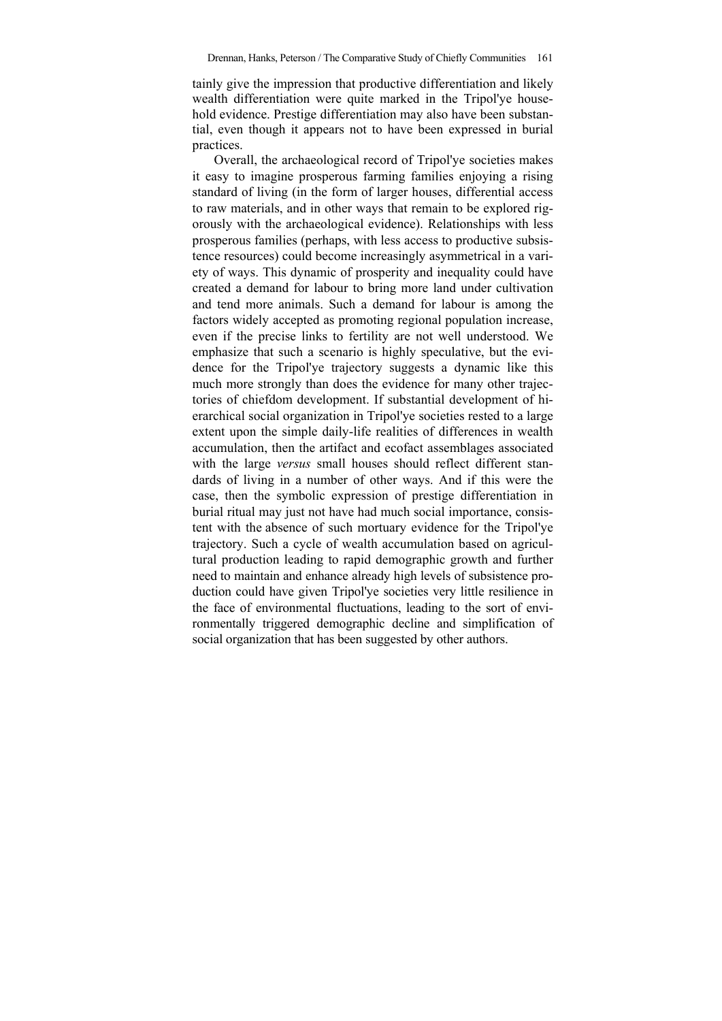tainly give the impression that productive differentiation and likely wealth differentiation were quite marked in the Tripol'ye household evidence. Prestige differentiation may also have been substantial, even though it appears not to have been expressed in burial practices.

Overall, the archaeological record of Tripol'ye societies makes it easy to imagine prosperous farming families enjoying a rising standard of living (in the form of larger houses, differential access to raw materials, and in other ways that remain to be explored rigorously with the archaeological evidence). Relationships with less prosperous families (perhaps, with less access to productive subsistence resources) could become increasingly asymmetrical in a variety of ways. This dynamic of prosperity and inequality could have created a demand for labour to bring more land under cultivation and tend more animals. Such a demand for labour is among the factors widely accepted as promoting regional population increase, even if the precise links to fertility are not well understood. We emphasize that such a scenario is highly speculative, but the evidence for the Tripol'ye trajectory suggests a dynamic like this much more strongly than does the evidence for many other trajectories of chiefdom development. If substantial development of hierarchical social organization in Tripol'ye societies rested to a large extent upon the simple daily-life realities of differences in wealth accumulation, then the artifact and ecofact assemblages associated with the large *versus* small houses should reflect different standards of living in a number of other ways. And if this were the case, then the symbolic expression of prestige differentiation in burial ritual may just not have had much social importance, consistent with the absence of such mortuary evidence for the Tripol'ye trajectory. Such a cycle of wealth accumulation based on agricultural production leading to rapid demographic growth and further need to maintain and enhance already high levels of subsistence production could have given Tripol'ye societies very little resilience in the face of environmental fluctuations, leading to the sort of environmentally triggered demographic decline and simplification of social organization that has been suggested by other authors.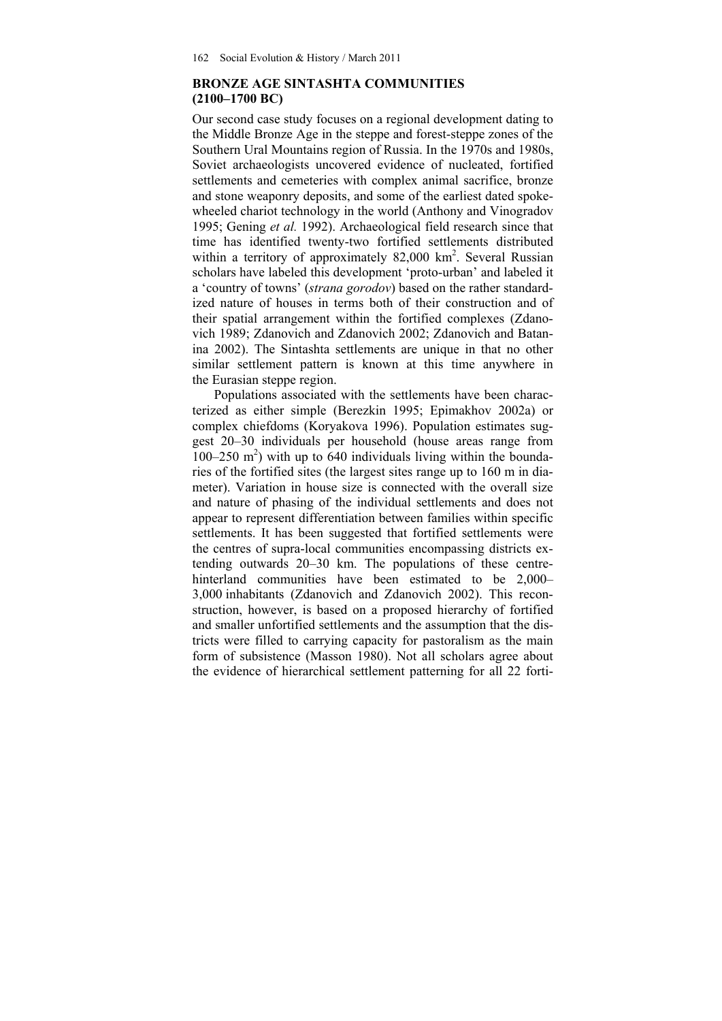#### **BRONZE AGE SINTASHTA COMMUNITIES (2100–1700 BC)**

Our second case study focuses on a regional development dating to the Middle Bronze Age in the steppe and forest-steppe zones of the Southern Ural Mountains region of Russia. In the 1970s and 1980s, Soviet archaeologists uncovered evidence of nucleated, fortified settlements and cemeteries with complex animal sacrifice, bronze and stone weaponry deposits, and some of the earliest dated spokewheeled chariot technology in the world (Anthony and Vinogradov 1995; Gening *et al.* 1992). Archaeological field research since that time has identified twenty-two fortified settlements distributed within a territory of approximately 82,000 km<sup>2</sup>. Several Russian scholars have labeled this development 'proto-urban' and labeled it a 'country of towns' (*strana gorodov*) based on the rather standardized nature of houses in terms both of their construction and of their spatial arrangement within the fortified complexes (Zdanovich 1989; Zdanovich and Zdanovich 2002; Zdanovich and Batanina 2002). The Sintashta settlements are unique in that no other similar settlement pattern is known at this time anywhere in the Eurasian steppe region.

Populations associated with the settlements have been characterized as either simple (Berezkin 1995; Epimakhov 2002a) or complex chiefdoms (Koryakova 1996). Population estimates suggest 20–30 individuals per household (house areas range from  $100-250$  m<sup>2</sup>) with up to  $640$  individuals living within the boundaries of the fortified sites (the largest sites range up to 160 m in diameter). Variation in house size is connected with the overall size and nature of phasing of the individual settlements and does not appear to represent differentiation between families within specific settlements. It has been suggested that fortified settlements were the centres of supra-local communities encompassing districts extending outwards 20–30 km. The populations of these centrehinterland communities have been estimated to be 2,000– 3,000 inhabitants (Zdanovich and Zdanovich 2002). This reconstruction, however, is based on a proposed hierarchy of fortified and smaller unfortified settlements and the assumption that the districts were filled to carrying capacity for pastoralism as the main form of subsistence (Masson 1980). Not all scholars agree about the evidence of hierarchical settlement patterning for all 22 forti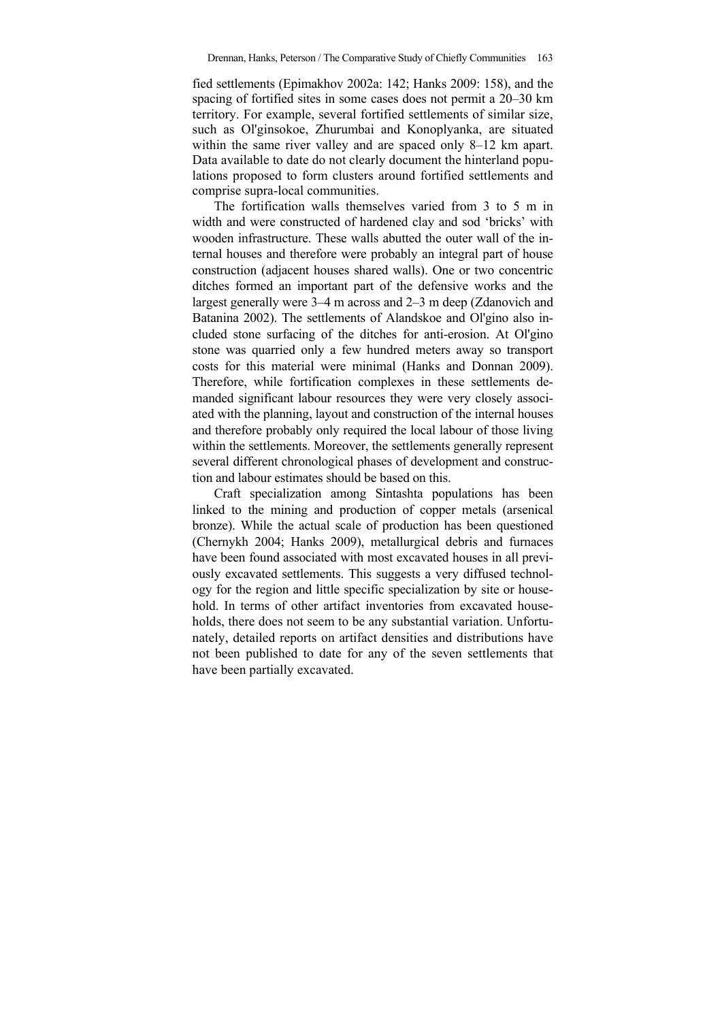fied settlements (Epimakhov 2002a: 142; Hanks 2009: 158), and the spacing of fortified sites in some cases does not permit a 20–30 km territory. For example, several fortified settlements of similar size, such as Ol'ginsokoe, Zhurumbai and Konoplyanka, are situated within the same river valley and are spaced only 8–12 km apart. Data available to date do not clearly document the hinterland populations proposed to form clusters around fortified settlements and comprise supra-local communities.

The fortification walls themselves varied from 3 to 5 m in width and were constructed of hardened clay and sod 'bricks' with wooden infrastructure. These walls abutted the outer wall of the internal houses and therefore were probably an integral part of house construction (adjacent houses shared walls). One or two concentric ditches formed an important part of the defensive works and the largest generally were 3–4 m across and 2–3 m deep (Zdanovich and Batanina 2002). The settlements of Alandskoe and Ol'gino also included stone surfacing of the ditches for anti-erosion. At Ol'gino stone was quarried only a few hundred meters away so transport costs for this material were minimal (Hanks and Donnan 2009). Therefore, while fortification complexes in these settlements demanded significant labour resources they were very closely associated with the planning, layout and construction of the internal houses and therefore probably only required the local labour of those living within the settlements. Moreover, the settlements generally represent several different chronological phases of development and construction and labour estimates should be based on this.

Craft specialization among Sintashta populations has been linked to the mining and production of copper metals (arsenical bronze). While the actual scale of production has been questioned (Chernykh 2004; Hanks 2009), metallurgical debris and furnaces have been found associated with most excavated houses in all previously excavated settlements. This suggests a very diffused technology for the region and little specific specialization by site or household. In terms of other artifact inventories from excavated households, there does not seem to be any substantial variation. Unfortunately, detailed reports on artifact densities and distributions have not been published to date for any of the seven settlements that have been partially excavated.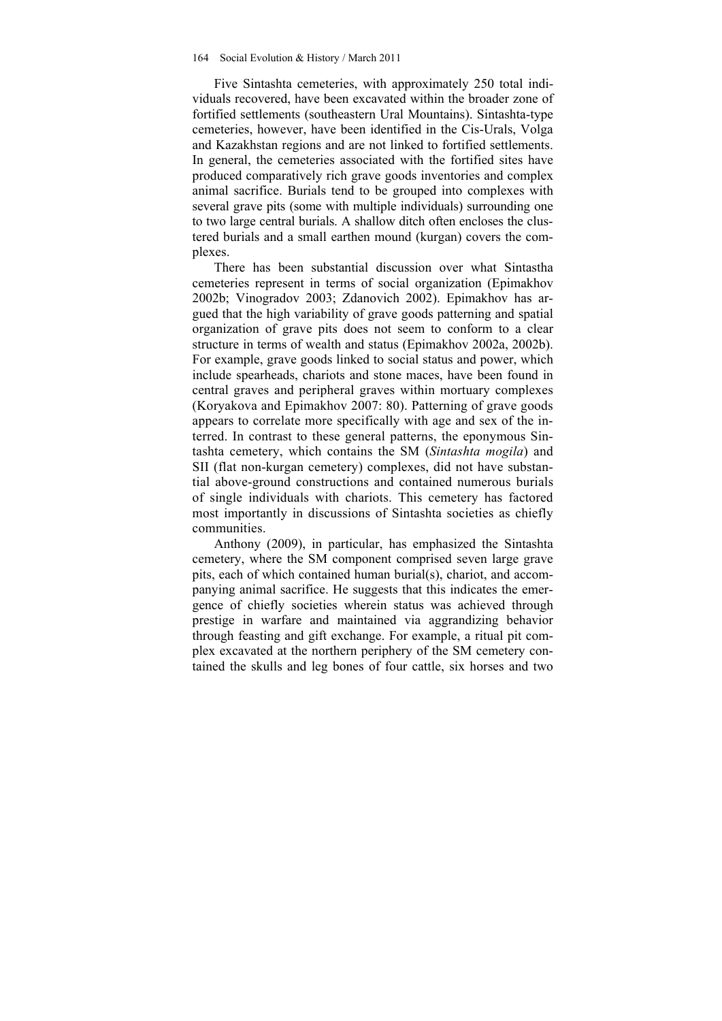Five Sintashta cemeteries, with approximately 250 total individuals recovered, have been excavated within the broader zone of fortified settlements (southeastern Ural Mountains). Sintashta-type cemeteries, however, have been identified in the Cis-Urals, Volga and Kazakhstan regions and are not linked to fortified settlements. In general, the cemeteries associated with the fortified sites have produced comparatively rich grave goods inventories and complex animal sacrifice. Burials tend to be grouped into complexes with several grave pits (some with multiple individuals) surrounding one to two large central burials. A shallow ditch often encloses the clustered burials and a small earthen mound (kurgan) covers the complexes.

There has been substantial discussion over what Sintastha cemeteries represent in terms of social organization (Epimakhov 2002b; Vinogradov 2003; Zdanovich 2002). Epimakhov has argued that the high variability of grave goods patterning and spatial organization of grave pits does not seem to conform to a clear structure in terms of wealth and status (Epimakhov 2002a, 2002b). For example, grave goods linked to social status and power, which include spearheads, chariots and stone maces, have been found in central graves and peripheral graves within mortuary complexes (Koryakova and Epimakhov 2007: 80). Patterning of grave goods appears to correlate more specifically with age and sex of the interred. In contrast to these general patterns, the eponymous Sintashta cemetery, which contains the SM (*Sintashta mogila*) and SII (flat non-kurgan cemetery) complexes, did not have substantial above-ground constructions and contained numerous burials of single individuals with chariots. This cemetery has factored most importantly in discussions of Sintashta societies as chiefly communities.

Anthony (2009), in particular, has emphasized the Sintashta cemetery, where the SM component comprised seven large grave pits, each of which contained human burial(s), chariot, and accompanying animal sacrifice. He suggests that this indicates the emergence of chiefly societies wherein status was achieved through prestige in warfare and maintained via aggrandizing behavior through feasting and gift exchange. For example, a ritual pit complex excavated at the northern periphery of the SM cemetery contained the skulls and leg bones of four cattle, six horses and two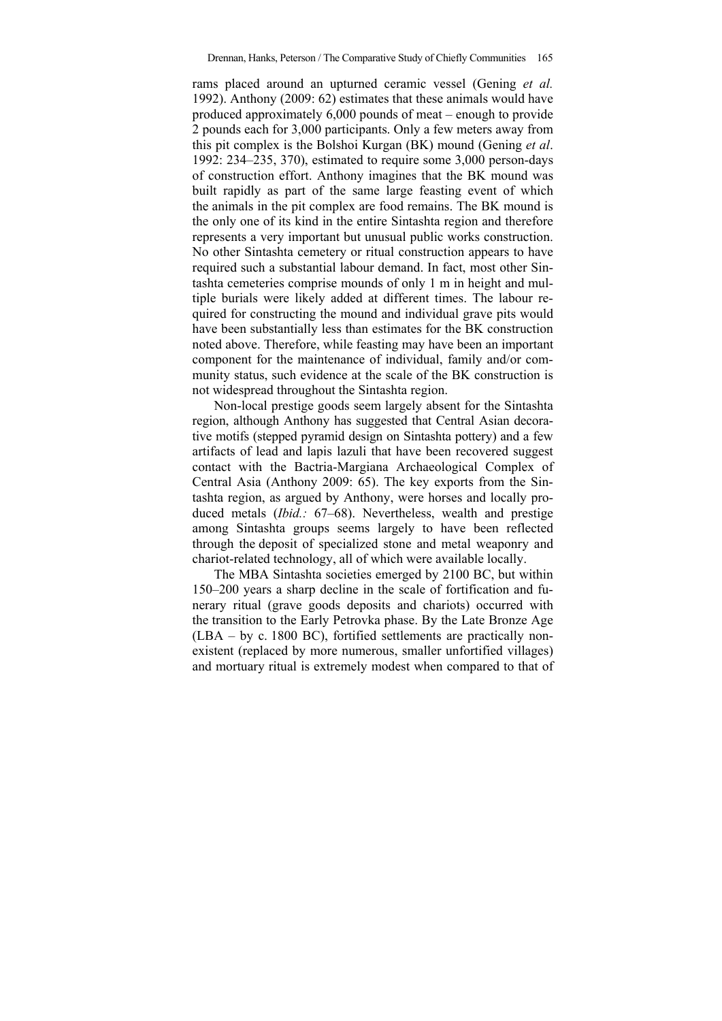rams placed around an upturned ceramic vessel (Gening *et al.* 1992). Anthony (2009: 62) estimates that these animals would have produced approximately 6,000 pounds of meat – enough to provide 2 pounds each for 3,000 participants. Only a few meters away from this pit complex is the Bolshoi Kurgan (BK) mound (Gening *et al*. 1992: 234–235, 370), estimated to require some 3,000 person-days of construction effort. Anthony imagines that the BK mound was built rapidly as part of the same large feasting event of which the animals in the pit complex are food remains. The BK mound is the only one of its kind in the entire Sintashta region and therefore represents a very important but unusual public works construction. No other Sintashta cemetery or ritual construction appears to have required such a substantial labour demand. In fact, most other Sintashta cemeteries comprise mounds of only 1 m in height and multiple burials were likely added at different times. The labour required for constructing the mound and individual grave pits would have been substantially less than estimates for the BK construction noted above. Therefore, while feasting may have been an important component for the maintenance of individual, family and/or community status, such evidence at the scale of the BK construction is not widespread throughout the Sintashta region.

Non-local prestige goods seem largely absent for the Sintashta region, although Anthony has suggested that Central Asian decorative motifs (stepped pyramid design on Sintashta pottery) and a few artifacts of lead and lapis lazuli that have been recovered suggest contact with the Bactria-Margiana Archaeological Complex of Central Asia (Anthony 2009: 65). The key exports from the Sintashta region, as argued by Anthony, were horses and locally produced metals (*Ibid.:* 67–68). Nevertheless, wealth and prestige among Sintashta groups seems largely to have been reflected through the deposit of specialized stone and metal weaponry and chariot-related technology, all of which were available locally.

The MBA Sintashta societies emerged by 2100 BC, but within 150–200 years a sharp decline in the scale of fortification and funerary ritual (grave goods deposits and chariots) occurred with the transition to the Early Petrovka phase. By the Late Bronze Age (LBA – by c. 1800 BC), fortified settlements are practically nonexistent (replaced by more numerous, smaller unfortified villages) and mortuary ritual is extremely modest when compared to that of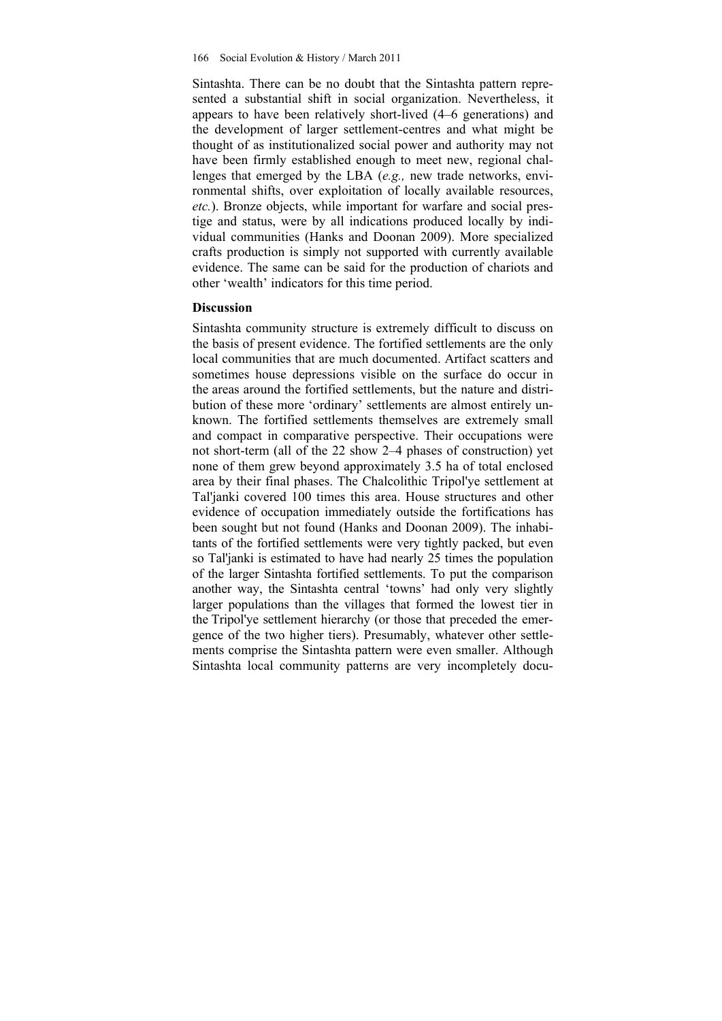Sintashta. There can be no doubt that the Sintashta pattern represented a substantial shift in social organization. Nevertheless, it appears to have been relatively short-lived (4–6 generations) and the development of larger settlement-centres and what might be thought of as institutionalized social power and authority may not have been firmly established enough to meet new, regional challenges that emerged by the LBA (*e.g.,* new trade networks, environmental shifts, over exploitation of locally available resources, *etc.*). Bronze objects, while important for warfare and social prestige and status, were by all indications produced locally by individual communities (Hanks and Doonan 2009). More specialized crafts production is simply not supported with currently available evidence. The same can be said for the production of chariots and other 'wealth' indicators for this time period.

#### **Discussion**

Sintashta community structure is extremely difficult to discuss on the basis of present evidence. The fortified settlements are the only local communities that are much documented. Artifact scatters and sometimes house depressions visible on the surface do occur in the areas around the fortified settlements, but the nature and distribution of these more 'ordinary' settlements are almost entirely unknown. The fortified settlements themselves are extremely small and compact in comparative perspective. Their occupations were not short-term (all of the 22 show 2–4 phases of construction) yet none of them grew beyond approximately 3.5 ha of total enclosed area by their final phases. The Chalcolithic Tripol'ye settlement at Tal'janki covered 100 times this area. House structures and other evidence of occupation immediately outside the fortifications has been sought but not found (Hanks and Doonan 2009). The inhabitants of the fortified settlements were very tightly packed, but even so Tal'janki is estimated to have had nearly 25 times the population of the larger Sintashta fortified settlements. To put the comparison another way, the Sintashta central 'towns' had only very slightly larger populations than the villages that formed the lowest tier in the Tripol'ye settlement hierarchy (or those that preceded the emergence of the two higher tiers). Presumably, whatever other settlements comprise the Sintashta pattern were even smaller. Although Sintashta local community patterns are very incompletely docu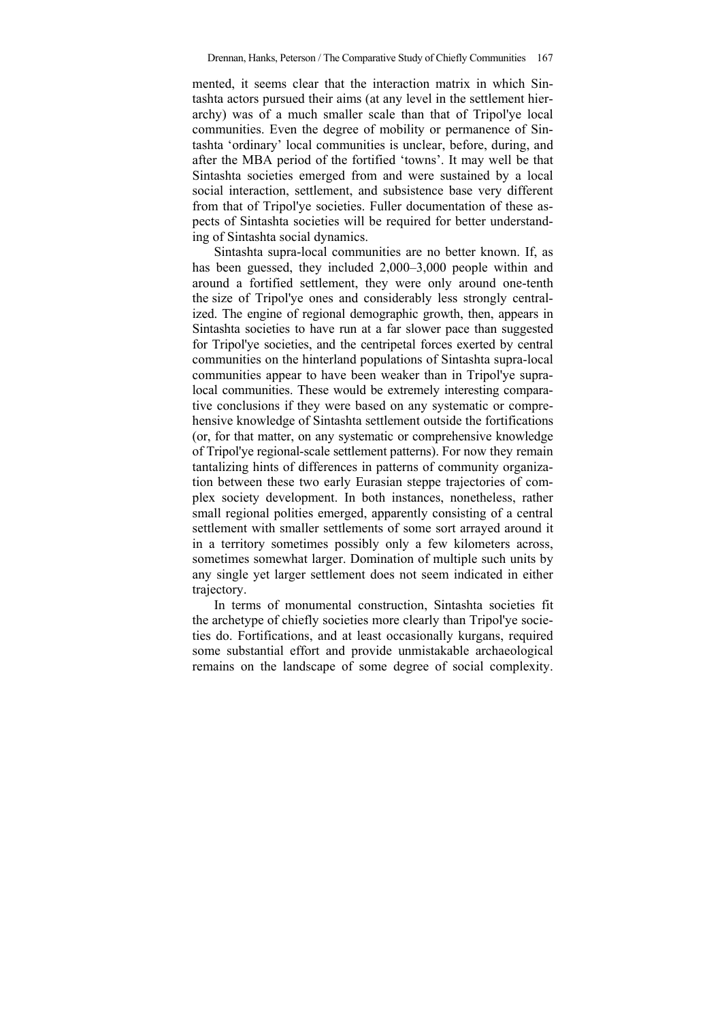mented, it seems clear that the interaction matrix in which Sintashta actors pursued their aims (at any level in the settlement hierarchy) was of a much smaller scale than that of Tripol'ye local communities. Even the degree of mobility or permanence of Sintashta 'ordinary' local communities is unclear, before, during, and after the MBA period of the fortified 'towns'. It may well be that Sintashta societies emerged from and were sustained by a local social interaction, settlement, and subsistence base very different from that of Tripol'ye societies. Fuller documentation of these aspects of Sintashta societies will be required for better understanding of Sintashta social dynamics.

Sintashta supra-local communities are no better known. If, as has been guessed, they included 2,000–3,000 people within and around a fortified settlement, they were only around one-tenth the size of Tripol'ye ones and considerably less strongly centralized. The engine of regional demographic growth, then, appears in Sintashta societies to have run at a far slower pace than suggested for Tripol'ye societies, and the centripetal forces exerted by central communities on the hinterland populations of Sintashta supra-local communities appear to have been weaker than in Tripol'ye supralocal communities. These would be extremely interesting comparative conclusions if they were based on any systematic or comprehensive knowledge of Sintashta settlement outside the fortifications (or, for that matter, on any systematic or comprehensive knowledge of Tripol'ye regional-scale settlement patterns). For now they remain tantalizing hints of differences in patterns of community organization between these two early Eurasian steppe trajectories of complex society development. In both instances, nonetheless, rather small regional polities emerged, apparently consisting of a central settlement with smaller settlements of some sort arrayed around it in a territory sometimes possibly only a few kilometers across, sometimes somewhat larger. Domination of multiple such units by any single yet larger settlement does not seem indicated in either trajectory.

In terms of monumental construction, Sintashta societies fit the archetype of chiefly societies more clearly than Tripol'ye societies do. Fortifications, and at least occasionally kurgans, required some substantial effort and provide unmistakable archaeological remains on the landscape of some degree of social complexity.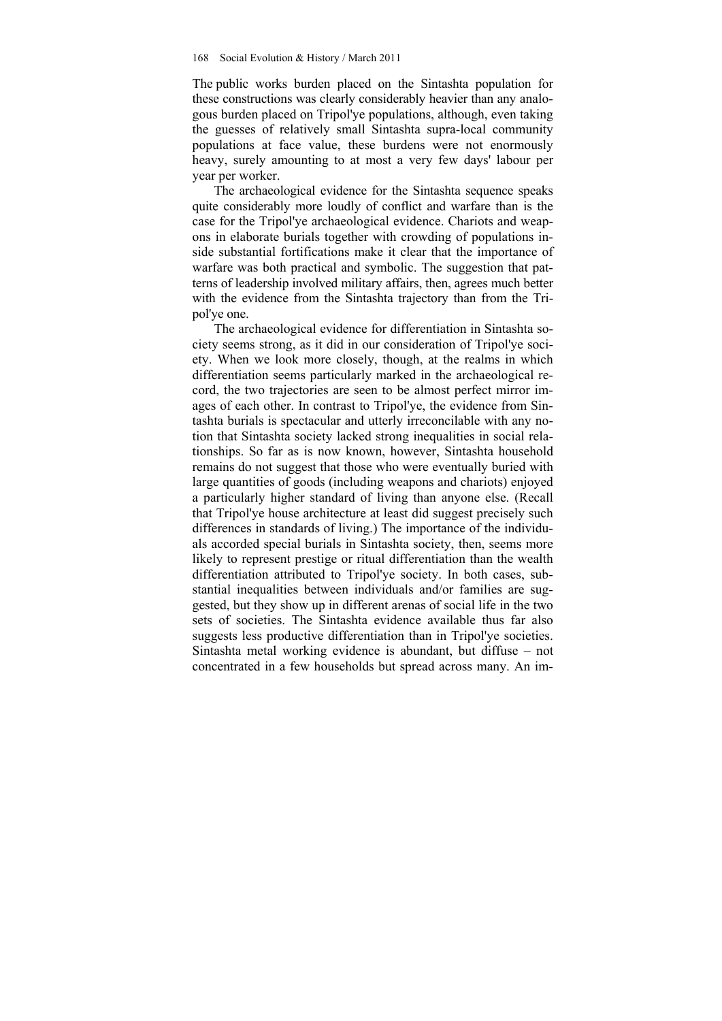The public works burden placed on the Sintashta population for these constructions was clearly considerably heavier than any analogous burden placed on Tripol'ye populations, although, even taking the guesses of relatively small Sintashta supra-local community populations at face value, these burdens were not enormously heavy, surely amounting to at most a very few days' labour per year per worker.

The archaeological evidence for the Sintashta sequence speaks quite considerably more loudly of conflict and warfare than is the case for the Tripol'ye archaeological evidence. Chariots and weapons in elaborate burials together with crowding of populations inside substantial fortifications make it clear that the importance of warfare was both practical and symbolic. The suggestion that patterns of leadership involved military affairs, then, agrees much better with the evidence from the Sintashta trajectory than from the Tripol'ye one.

The archaeological evidence for differentiation in Sintashta society seems strong, as it did in our consideration of Tripol'ye society. When we look more closely, though, at the realms in which differentiation seems particularly marked in the archaeological record, the two trajectories are seen to be almost perfect mirror images of each other. In contrast to Tripol'ye, the evidence from Sintashta burials is spectacular and utterly irreconcilable with any notion that Sintashta society lacked strong inequalities in social relationships. So far as is now known, however, Sintashta household remains do not suggest that those who were eventually buried with large quantities of goods (including weapons and chariots) enjoyed a particularly higher standard of living than anyone else. (Recall that Tripol'ye house architecture at least did suggest precisely such differences in standards of living.) The importance of the individuals accorded special burials in Sintashta society, then, seems more likely to represent prestige or ritual differentiation than the wealth differentiation attributed to Tripol'ye society. In both cases, substantial inequalities between individuals and/or families are suggested, but they show up in different arenas of social life in the two sets of societies. The Sintashta evidence available thus far also suggests less productive differentiation than in Tripol'ye societies. Sintashta metal working evidence is abundant, but diffuse – not concentrated in a few households but spread across many. An im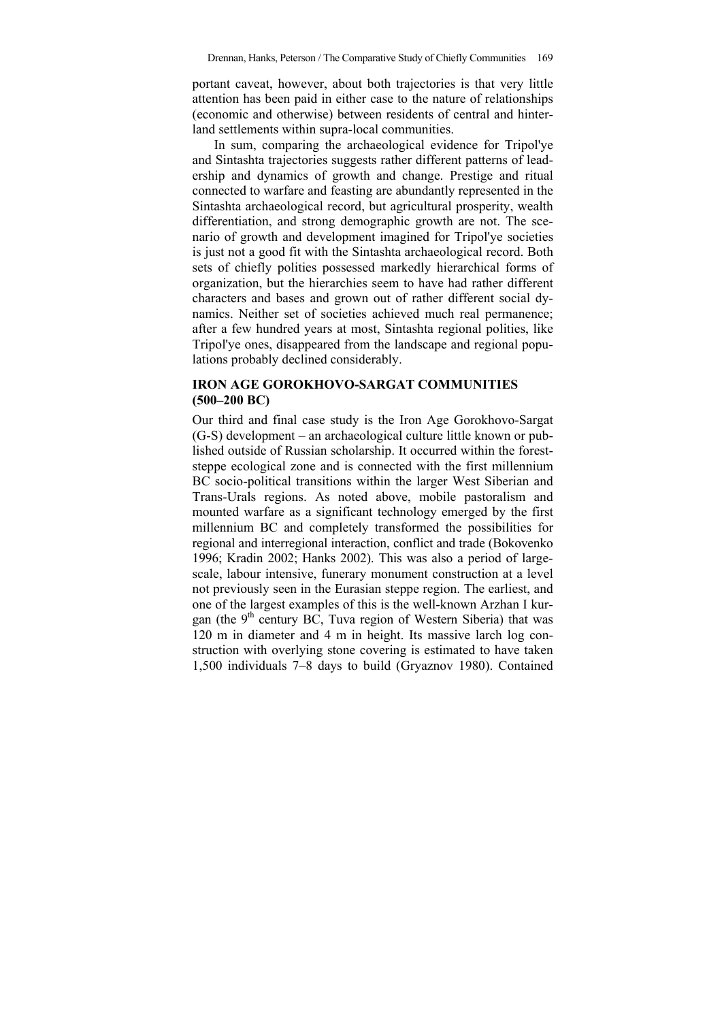portant caveat, however, about both trajectories is that very little attention has been paid in either case to the nature of relationships (economic and otherwise) between residents of central and hinterland settlements within supra-local communities.

In sum, comparing the archaeological evidence for Tripol'ye and Sintashta trajectories suggests rather different patterns of leadership and dynamics of growth and change. Prestige and ritual connected to warfare and feasting are abundantly represented in the Sintashta archaeological record, but agricultural prosperity, wealth differentiation, and strong demographic growth are not. The scenario of growth and development imagined for Tripol'ye societies is just not a good fit with the Sintashta archaeological record. Both sets of chiefly polities possessed markedly hierarchical forms of organization, but the hierarchies seem to have had rather different characters and bases and grown out of rather different social dynamics. Neither set of societies achieved much real permanence; after a few hundred years at most, Sintashta regional polities, like Tripol'ye ones, disappeared from the landscape and regional populations probably declined considerably.

### **IRON AGE GOROKHOVO-SARGAT COMMUNITIES (500–200 BC)**

Our third and final case study is the Iron Age Gorokhovo-Sargat (G-S) development – an archaeological culture little known or published outside of Russian scholarship. It occurred within the foreststeppe ecological zone and is connected with the first millennium BC socio-political transitions within the larger West Siberian and Trans-Urals regions. As noted above, mobile pastoralism and mounted warfare as a significant technology emerged by the first millennium BC and completely transformed the possibilities for regional and interregional interaction, conflict and trade (Bokovenko 1996; Kradin 2002; Hanks 2002). This was also a period of largescale, labour intensive, funerary monument construction at a level not previously seen in the Eurasian steppe region. The earliest, and one of the largest examples of this is the well-known Arzhan I kurgan (the  $9<sup>th</sup>$  century BC, Tuva region of Western Siberia) that was 120 m in diameter and 4 m in height. Its massive larch log construction with overlying stone covering is estimated to have taken 1,500 individuals 7–8 days to build (Gryaznov 1980). Contained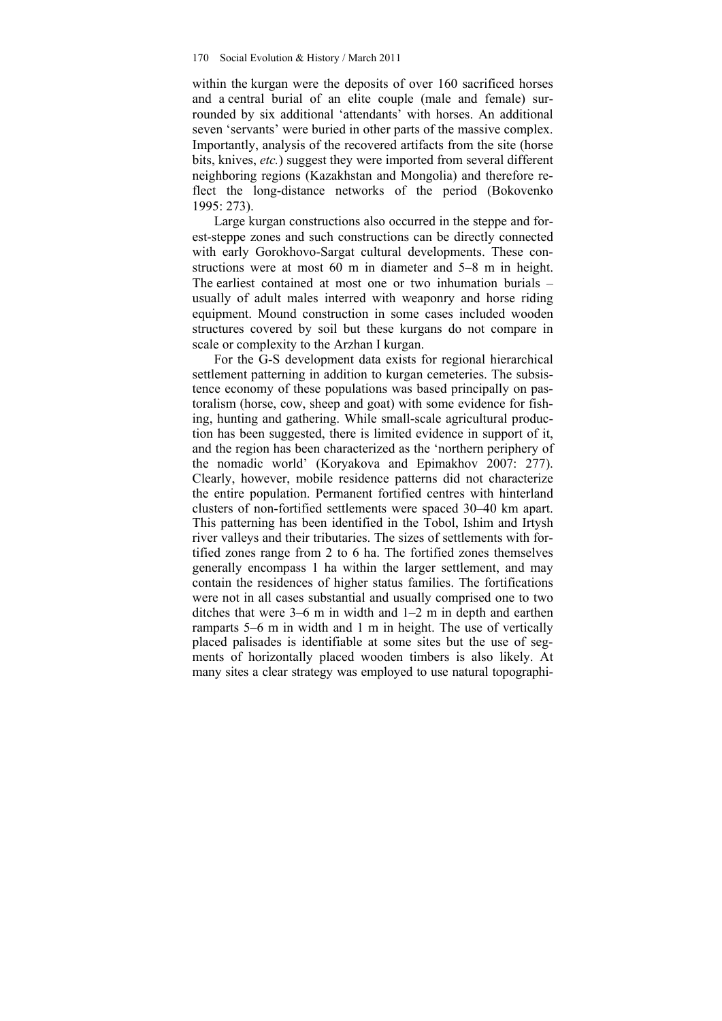within the kurgan were the deposits of over 160 sacrificed horses and a central burial of an elite couple (male and female) surrounded by six additional 'attendants' with horses. An additional seven 'servants' were buried in other parts of the massive complex. Importantly, analysis of the recovered artifacts from the site (horse bits, knives, *etc.*) suggest they were imported from several different neighboring regions (Kazakhstan and Mongolia) and therefore reflect the long-distance networks of the period (Bokovenko 1995: 273).

Large kurgan constructions also occurred in the steppe and forest-steppe zones and such constructions can be directly connected with early Gorokhovo-Sargat cultural developments. These constructions were at most 60 m in diameter and 5–8 m in height. The earliest contained at most one or two inhumation burials – usually of adult males interred with weaponry and horse riding equipment. Mound construction in some cases included wooden structures covered by soil but these kurgans do not compare in scale or complexity to the Arzhan I kurgan.

For the G-S development data exists for regional hierarchical settlement patterning in addition to kurgan cemeteries. The subsistence economy of these populations was based principally on pastoralism (horse, cow, sheep and goat) with some evidence for fishing, hunting and gathering. While small-scale agricultural production has been suggested, there is limited evidence in support of it, and the region has been characterized as the 'northern periphery of the nomadic world' (Koryakova and Epimakhov 2007: 277). Clearly, however, mobile residence patterns did not characterize the entire population. Permanent fortified centres with hinterland clusters of non-fortified settlements were spaced 30–40 km apart. This patterning has been identified in the Tobol, Ishim and Irtysh river valleys and their tributaries. The sizes of settlements with fortified zones range from 2 to 6 ha. The fortified zones themselves generally encompass 1 ha within the larger settlement, and may contain the residences of higher status families. The fortifications were not in all cases substantial and usually comprised one to two ditches that were 3–6 m in width and 1–2 m in depth and earthen ramparts 5–6 m in width and 1 m in height. The use of vertically placed palisades is identifiable at some sites but the use of segments of horizontally placed wooden timbers is also likely. At many sites a clear strategy was employed to use natural topographi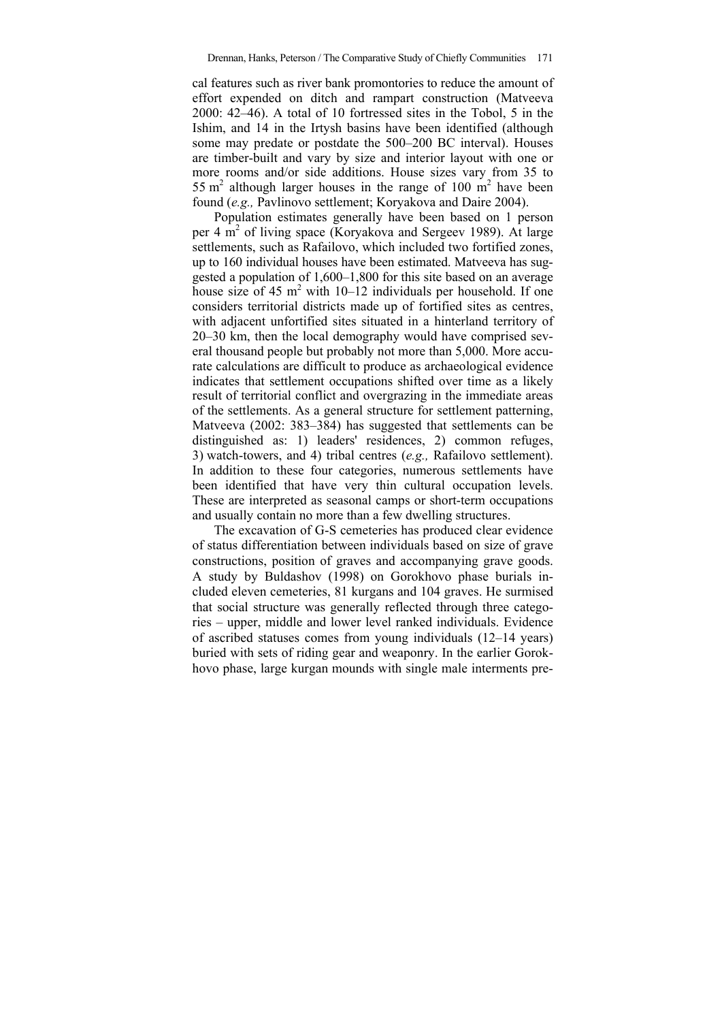cal features such as river bank promontories to reduce the amount of effort expended on ditch and rampart construction (Matveeva 2000: 42–46). A total of 10 fortressed sites in the Tobol, 5 in the Ishim, and 14 in the Irtysh basins have been identified (although some may predate or postdate the 500–200 BC interval). Houses are timber-built and vary by size and interior layout with one or more rooms and/or side additions. House sizes vary from 35 to 55 m<sup>2</sup> although larger houses in the range of 100 m<sup>2</sup> have been found (*e.g.,* Pavlinovo settlement; Koryakova and Daire 2004).

Population estimates generally have been based on 1 person per 4 m<sup>2</sup> of living space (Koryakova and Sergeev 1989). At large settlements, such as Rafailovo, which included two fortified zones, up to 160 individual houses have been estimated. Matveeva has suggested a population of 1,600–1,800 for this site based on an average house size of 45  $m^2$  with 10–12 individuals per household. If one considers territorial districts made up of fortified sites as centres, with adjacent unfortified sites situated in a hinterland territory of 20–30 km, then the local demography would have comprised several thousand people but probably not more than 5,000. More accurate calculations are difficult to produce as archaeological evidence indicates that settlement occupations shifted over time as a likely result of territorial conflict and overgrazing in the immediate areas of the settlements. As a general structure for settlement patterning, Matveeva (2002: 383–384) has suggested that settlements can be distinguished as: 1) leaders' residences, 2) common refuges, 3) watch-towers, and 4) tribal centres (*e.g.,* Rafailovo settlement). In addition to these four categories, numerous settlements have been identified that have very thin cultural occupation levels. These are interpreted as seasonal camps or short-term occupations and usually contain no more than a few dwelling structures.

The excavation of G-S cemeteries has produced clear evidence of status differentiation between individuals based on size of grave constructions, position of graves and accompanying grave goods. A study by Buldashov (1998) on Gorokhovo phase burials included eleven cemeteries, 81 kurgans and 104 graves. He surmised that social structure was generally reflected through three categories – upper, middle and lower level ranked individuals. Evidence of ascribed statuses comes from young individuals (12–14 years) buried with sets of riding gear and weaponry. In the earlier Gorokhovo phase, large kurgan mounds with single male interments pre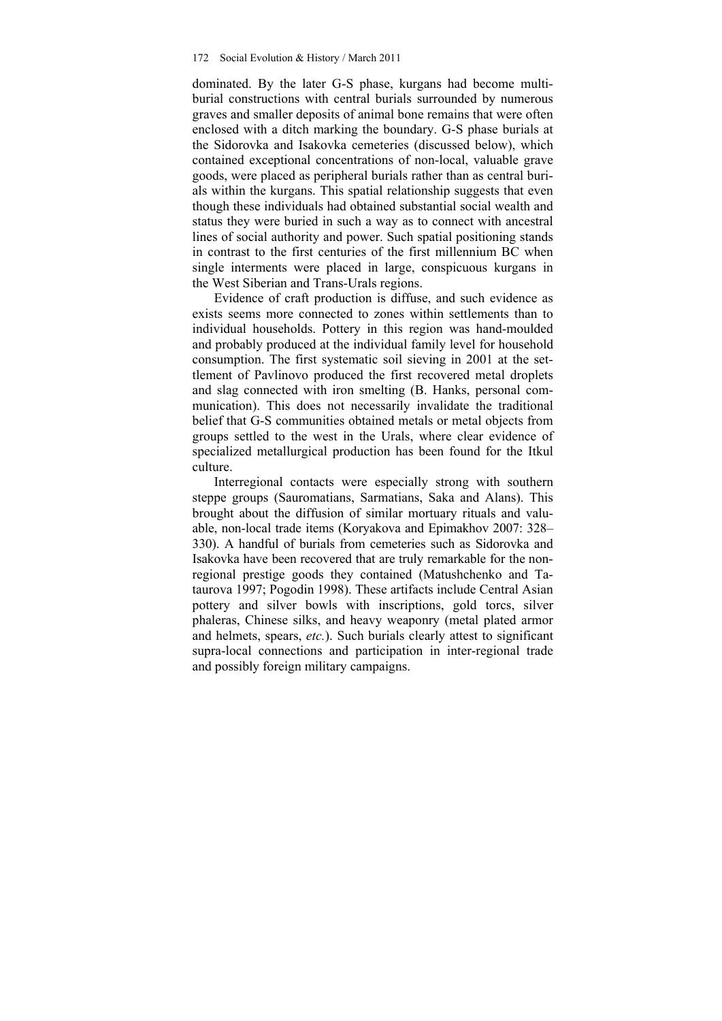dominated. By the later G-S phase, kurgans had become multiburial constructions with central burials surrounded by numerous graves and smaller deposits of animal bone remains that were often enclosed with a ditch marking the boundary. G-S phase burials at the Sidorovka and Isakovka cemeteries (discussed below), which contained exceptional concentrations of non-local, valuable grave goods, were placed as peripheral burials rather than as central burials within the kurgans. This spatial relationship suggests that even though these individuals had obtained substantial social wealth and status they were buried in such a way as to connect with ancestral lines of social authority and power. Such spatial positioning stands in contrast to the first centuries of the first millennium BC when single interments were placed in large, conspicuous kurgans in the West Siberian and Trans-Urals regions.

Evidence of craft production is diffuse, and such evidence as exists seems more connected to zones within settlements than to individual households. Pottery in this region was hand-moulded and probably produced at the individual family level for household consumption. The first systematic soil sieving in 2001 at the settlement of Pavlinovo produced the first recovered metal droplets and slag connected with iron smelting (B. Hanks, personal communication). This does not necessarily invalidate the traditional belief that G-S communities obtained metals or metal objects from groups settled to the west in the Urals, where clear evidence of specialized metallurgical production has been found for the Itkul culture.

Interregional contacts were especially strong with southern steppe groups (Sauromatians, Sarmatians, Saka and Alans). This brought about the diffusion of similar mortuary rituals and valuable, non-local trade items (Koryakova and Epimakhov 2007: 328– 330). A handful of burials from cemeteries such as Sidorovka and Isakovka have been recovered that are truly remarkable for the nonregional prestige goods they contained (Matushchenko and Tataurova 1997; Pogodin 1998). These artifacts include Central Asian pottery and silver bowls with inscriptions, gold torcs, silver phaleras, Chinese silks, and heavy weaponry (metal plated armor and helmets, spears, *etc.*). Such burials clearly attest to significant supra-local connections and participation in inter-regional trade and possibly foreign military campaigns.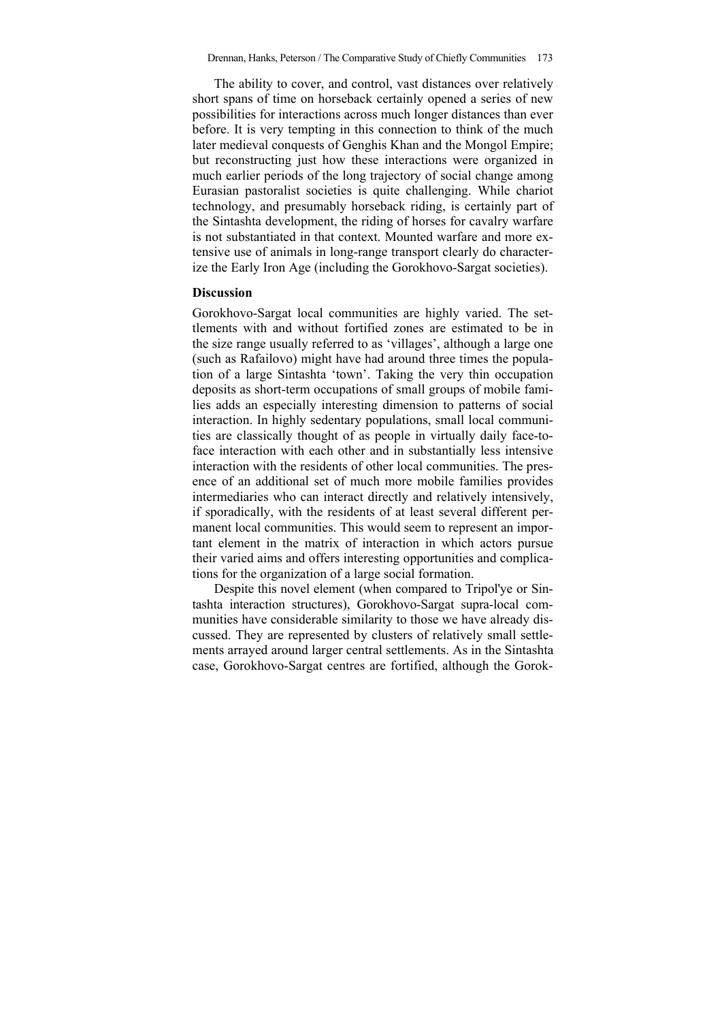The ability to cover, and control, vast distances over relatively short spans of time on horseback certainly opened a series of new possibilities for interactions across much longer distances than ever before. It is very tempting in this connection to think of the much later medieval conquests of Genghis Khan and the Mongol Empire; but reconstructing just how these interactions were organized in much earlier periods of the long trajectory of social change among Eurasian pastoralist societies is quite challenging. While chariot technology, and presumably horseback riding, is certainly part of the Sintashta development, the riding of horses for cavalry warfare is not substantiated in that context. Mounted warfare and more extensive use of animals in long-range transport clearly do characterize the Early Iron Age (including the Gorokhovo-Sargat societies).

#### **Discussion**

Gorokhovo-Sargat local communities are highly varied. The settlements with and without fortified zones are estimated to be in the size range usually referred to as 'villages', although a large one (such as Rafailovo) might have had around three times the population of a large Sintashta 'town'. Taking the very thin occupation deposits as short-term occupations of small groups of mobile families adds an especially interesting dimension to patterns of social interaction. In highly sedentary populations, small local communities are classically thought of as people in virtually daily face-toface interaction with each other and in substantially less intensive interaction with the residents of other local communities. The presence of an additional set of much more mobile families provides intermediaries who can interact directly and relatively intensively, if sporadically, with the residents of at least several different permanent local communities. This would seem to represent an important element in the matrix of interaction in which actors pursue their varied aims and offers interesting opportunities and complications for the organization of a large social formation.

Despite this novel element (when compared to Tripol'ye or Sintashta interaction structures), Gorokhovo-Sargat supra-local communities have considerable similarity to those we have already discussed. They are represented by clusters of relatively small settlements arrayed around larger central settlements. As in the Sintashta case, Gorokhovo-Sargat centres are fortified, although the Gorok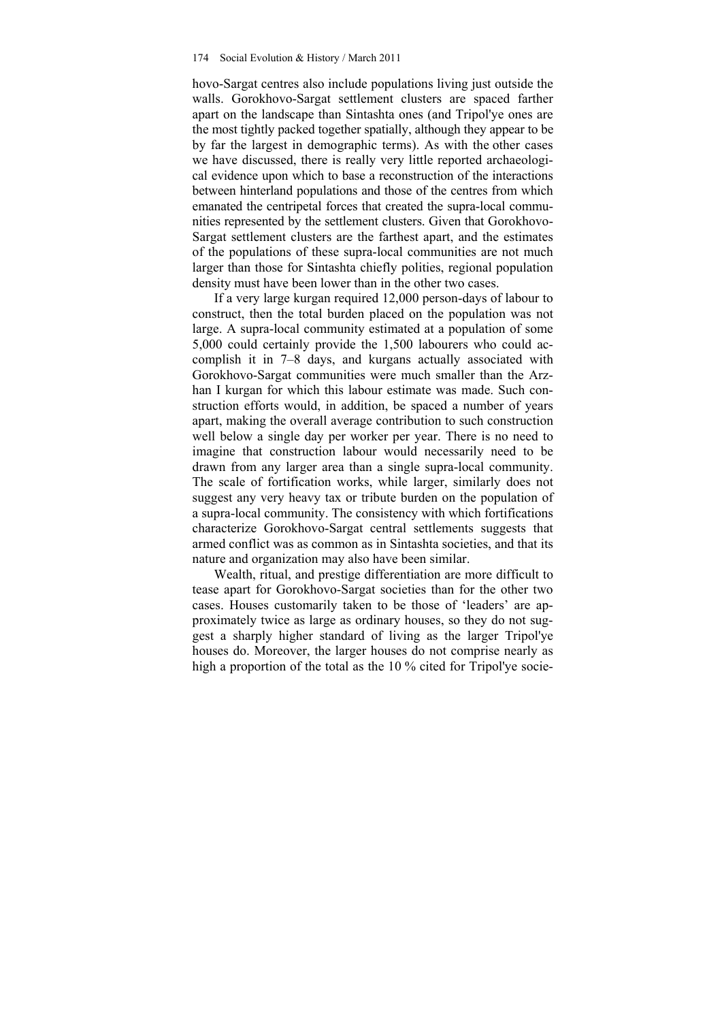hovo-Sargat centres also include populations living just outside the walls. Gorokhovo-Sargat settlement clusters are spaced farther apart on the landscape than Sintashta ones (and Tripol'ye ones are the most tightly packed together spatially, although they appear to be by far the largest in demographic terms). As with the other cases we have discussed, there is really very little reported archaeological evidence upon which to base a reconstruction of the interactions between hinterland populations and those of the centres from which emanated the centripetal forces that created the supra-local communities represented by the settlement clusters. Given that Gorokhovo-Sargat settlement clusters are the farthest apart, and the estimates of the populations of these supra-local communities are not much larger than those for Sintashta chiefly polities, regional population density must have been lower than in the other two cases.

If a very large kurgan required 12,000 person-days of labour to construct, then the total burden placed on the population was not large. A supra-local community estimated at a population of some 5,000 could certainly provide the 1,500 labourers who could accomplish it in 7–8 days, and kurgans actually associated with Gorokhovo-Sargat communities were much smaller than the Arzhan I kurgan for which this labour estimate was made. Such construction efforts would, in addition, be spaced a number of years apart, making the overall average contribution to such construction well below a single day per worker per year. There is no need to imagine that construction labour would necessarily need to be drawn from any larger area than a single supra-local community. The scale of fortification works, while larger, similarly does not suggest any very heavy tax or tribute burden on the population of a supra-local community. The consistency with which fortifications characterize Gorokhovo-Sargat central settlements suggests that armed conflict was as common as in Sintashta societies, and that its nature and organization may also have been similar.

Wealth, ritual, and prestige differentiation are more difficult to tease apart for Gorokhovo-Sargat societies than for the other two cases. Houses customarily taken to be those of 'leaders' are approximately twice as large as ordinary houses, so they do not suggest a sharply higher standard of living as the larger Tripol'ye houses do. Moreover, the larger houses do not comprise nearly as high a proportion of the total as the 10 % cited for Tripol'ye socie-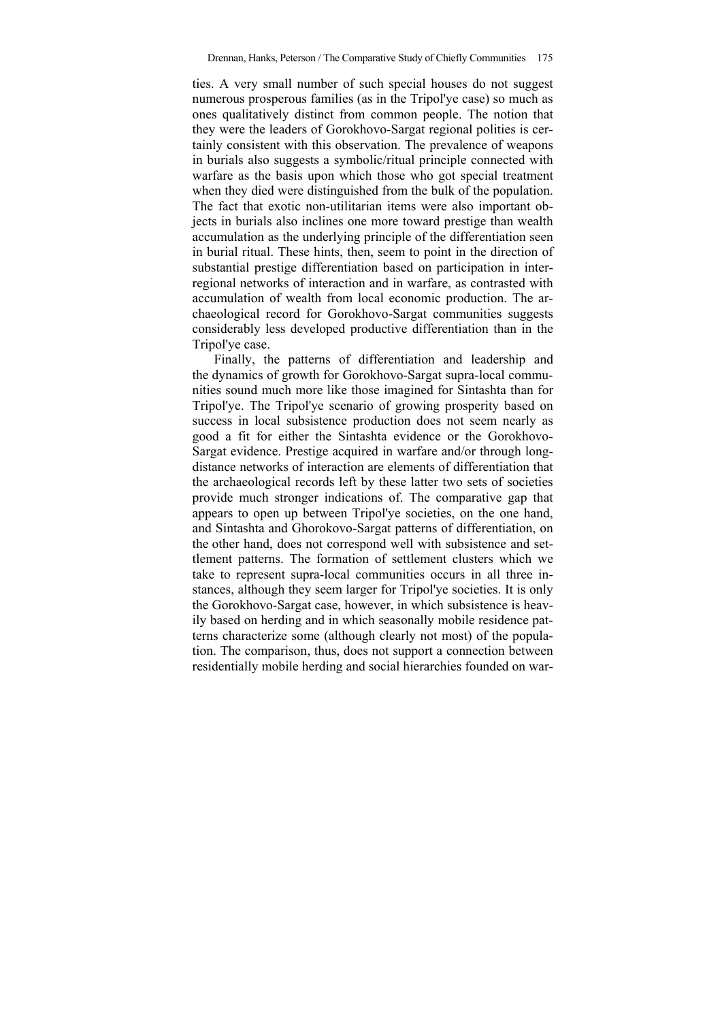ties. A very small number of such special houses do not suggest numerous prosperous families (as in the Tripol'ye case) so much as ones qualitatively distinct from common people. The notion that they were the leaders of Gorokhovo-Sargat regional polities is certainly consistent with this observation. The prevalence of weapons in burials also suggests a symbolic/ritual principle connected with warfare as the basis upon which those who got special treatment when they died were distinguished from the bulk of the population. The fact that exotic non-utilitarian items were also important objects in burials also inclines one more toward prestige than wealth accumulation as the underlying principle of the differentiation seen in burial ritual. These hints, then, seem to point in the direction of substantial prestige differentiation based on participation in interregional networks of interaction and in warfare, as contrasted with accumulation of wealth from local economic production. The archaeological record for Gorokhovo-Sargat communities suggests considerably less developed productive differentiation than in the Tripol'ye case.

Finally, the patterns of differentiation and leadership and the dynamics of growth for Gorokhovo-Sargat supra-local communities sound much more like those imagined for Sintashta than for Tripol'ye. The Tripol'ye scenario of growing prosperity based on success in local subsistence production does not seem nearly as good a fit for either the Sintashta evidence or the Gorokhovo-Sargat evidence. Prestige acquired in warfare and/or through longdistance networks of interaction are elements of differentiation that the archaeological records left by these latter two sets of societies provide much stronger indications of. The comparative gap that appears to open up between Tripol'ye societies, on the one hand, and Sintashta and Ghorokovo-Sargat patterns of differentiation, on the other hand, does not correspond well with subsistence and settlement patterns. The formation of settlement clusters which we take to represent supra-local communities occurs in all three instances, although they seem larger for Tripol'ye societies. It is only the Gorokhovo-Sargat case, however, in which subsistence is heavily based on herding and in which seasonally mobile residence patterns characterize some (although clearly not most) of the population. The comparison, thus, does not support a connection between residentially mobile herding and social hierarchies founded on war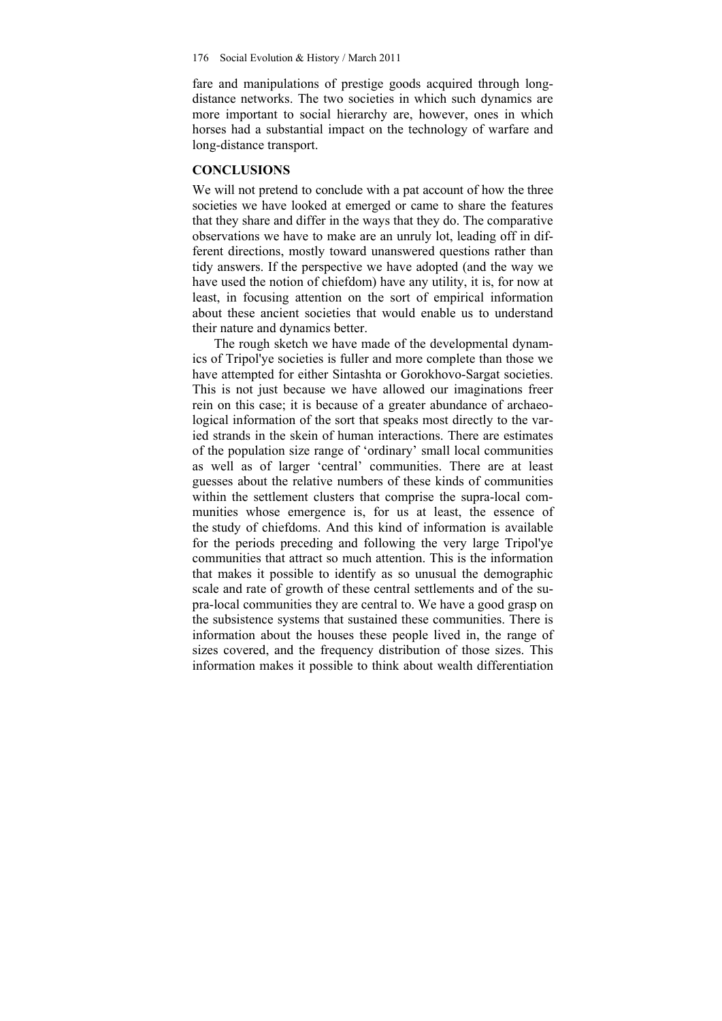fare and manipulations of prestige goods acquired through longdistance networks. The two societies in which such dynamics are more important to social hierarchy are, however, ones in which horses had a substantial impact on the technology of warfare and long-distance transport.

#### **CONCLUSIONS**

We will not pretend to conclude with a pat account of how the three societies we have looked at emerged or came to share the features that they share and differ in the ways that they do. The comparative observations we have to make are an unruly lot, leading off in different directions, mostly toward unanswered questions rather than tidy answers. If the perspective we have adopted (and the way we have used the notion of chiefdom) have any utility, it is, for now at least, in focusing attention on the sort of empirical information about these ancient societies that would enable us to understand their nature and dynamics better.

The rough sketch we have made of the developmental dynamics of Tripol'ye societies is fuller and more complete than those we have attempted for either Sintashta or Gorokhovo-Sargat societies. This is not just because we have allowed our imaginations freer rein on this case; it is because of a greater abundance of archaeological information of the sort that speaks most directly to the varied strands in the skein of human interactions. There are estimates of the population size range of 'ordinary' small local communities as well as of larger 'central' communities. There are at least guesses about the relative numbers of these kinds of communities within the settlement clusters that comprise the supra-local communities whose emergence is, for us at least, the essence of the study of chiefdoms. And this kind of information is available for the periods preceding and following the very large Tripol'ye communities that attract so much attention. This is the information that makes it possible to identify as so unusual the demographic scale and rate of growth of these central settlements and of the supra-local communities they are central to. We have a good grasp on the subsistence systems that sustained these communities. There is information about the houses these people lived in, the range of sizes covered, and the frequency distribution of those sizes. This information makes it possible to think about wealth differentiation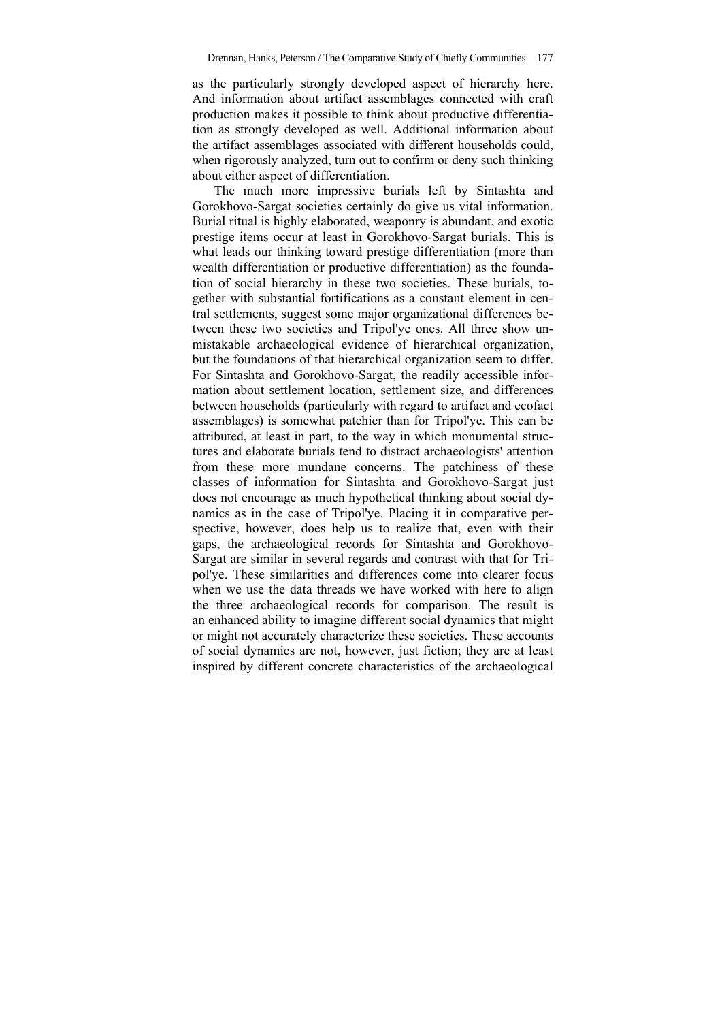as the particularly strongly developed aspect of hierarchy here. And information about artifact assemblages connected with craft production makes it possible to think about productive differentiation as strongly developed as well. Additional information about the artifact assemblages associated with different households could, when rigorously analyzed, turn out to confirm or deny such thinking about either aspect of differentiation.

The much more impressive burials left by Sintashta and Gorokhovo-Sargat societies certainly do give us vital information. Burial ritual is highly elaborated, weaponry is abundant, and exotic prestige items occur at least in Gorokhovo-Sargat burials. This is what leads our thinking toward prestige differentiation (more than wealth differentiation or productive differentiation) as the foundation of social hierarchy in these two societies. These burials, together with substantial fortifications as a constant element in central settlements, suggest some major organizational differences between these two societies and Tripol'ye ones. All three show unmistakable archaeological evidence of hierarchical organization, but the foundations of that hierarchical organization seem to differ. For Sintashta and Gorokhovo-Sargat, the readily accessible information about settlement location, settlement size, and differences between households (particularly with regard to artifact and ecofact assemblages) is somewhat patchier than for Tripol'ye. This can be attributed, at least in part, to the way in which monumental structures and elaborate burials tend to distract archaeologists' attention from these more mundane concerns. The patchiness of these classes of information for Sintashta and Gorokhovo-Sargat just does not encourage as much hypothetical thinking about social dynamics as in the case of Tripol'ye. Placing it in comparative perspective, however, does help us to realize that, even with their gaps, the archaeological records for Sintashta and Gorokhovo-Sargat are similar in several regards and contrast with that for Tripol'ye. These similarities and differences come into clearer focus when we use the data threads we have worked with here to align the three archaeological records for comparison. The result is an enhanced ability to imagine different social dynamics that might or might not accurately characterize these societies. These accounts of social dynamics are not, however, just fiction; they are at least inspired by different concrete characteristics of the archaeological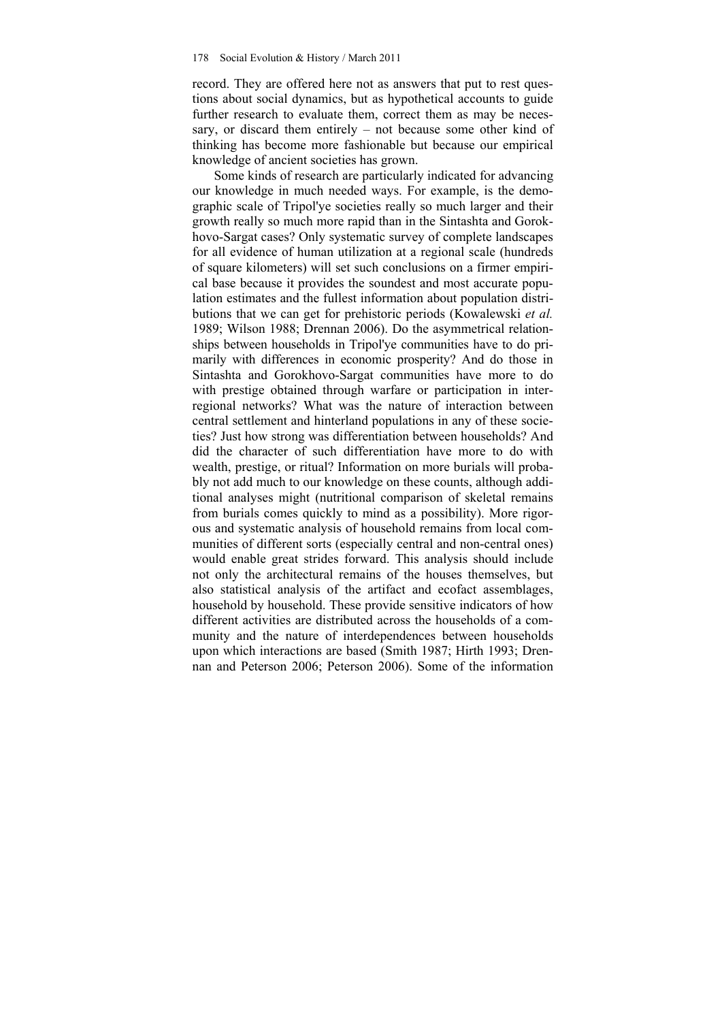record. They are offered here not as answers that put to rest questions about social dynamics, but as hypothetical accounts to guide further research to evaluate them, correct them as may be necessary, or discard them entirely – not because some other kind of thinking has become more fashionable but because our empirical knowledge of ancient societies has grown.

Some kinds of research are particularly indicated for advancing our knowledge in much needed ways. For example, is the demographic scale of Tripol'ye societies really so much larger and their growth really so much more rapid than in the Sintashta and Gorokhovo-Sargat cases? Only systematic survey of complete landscapes for all evidence of human utilization at a regional scale (hundreds of square kilometers) will set such conclusions on a firmer empirical base because it provides the soundest and most accurate population estimates and the fullest information about population distributions that we can get for prehistoric periods (Kowalewski *et al.* 1989; Wilson 1988; Drennan 2006). Do the asymmetrical relationships between households in Tripol'ye communities have to do primarily with differences in economic prosperity? And do those in Sintashta and Gorokhovo-Sargat communities have more to do with prestige obtained through warfare or participation in interregional networks? What was the nature of interaction between central settlement and hinterland populations in any of these societies? Just how strong was differentiation between households? And did the character of such differentiation have more to do with wealth, prestige, or ritual? Information on more burials will probably not add much to our knowledge on these counts, although additional analyses might (nutritional comparison of skeletal remains from burials comes quickly to mind as a possibility). More rigorous and systematic analysis of household remains from local communities of different sorts (especially central and non-central ones) would enable great strides forward. This analysis should include not only the architectural remains of the houses themselves, but also statistical analysis of the artifact and ecofact assemblages, household by household. These provide sensitive indicators of how different activities are distributed across the households of a community and the nature of interdependences between households upon which interactions are based (Smith 1987; Hirth 1993; Drennan and Peterson 2006; Peterson 2006). Some of the information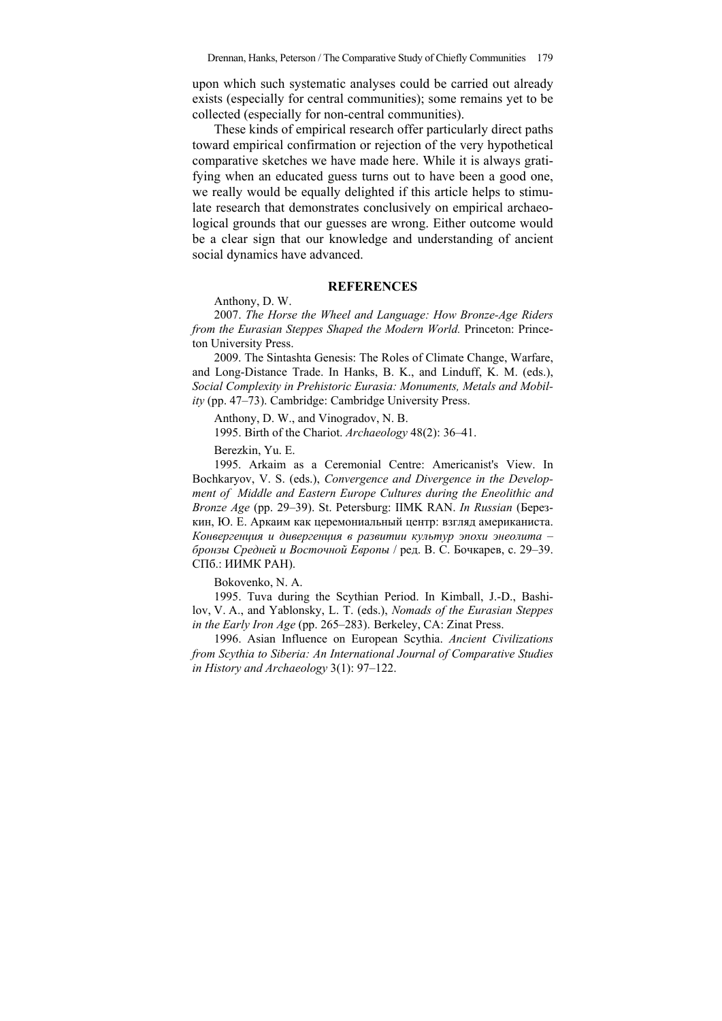upon which such systematic analyses could be carried out already exists (especially for central communities); some remains yet to be collected (especially for non-central communities).

These kinds of empirical research offer particularly direct paths toward empirical confirmation or rejection of the very hypothetical comparative sketches we have made here. While it is always gratifying when an educated guess turns out to have been a good one, we really would be equally delighted if this article helps to stimulate research that demonstrates conclusively on empirical archaeological grounds that our guesses are wrong. Either outcome would be a clear sign that our knowledge and understanding of ancient social dynamics have advanced.

### **REFERENCES**

Anthony, D. W.

2007. *The Horse the Wheel and Language: How Bronze-Age Riders from the Eurasian Steppes Shaped the Modern World.* Princeton: Princeton University Press.

2009. The Sintashta Genesis: The Roles of Climate Change, Warfare, and Long-Distance Trade. In Hanks, B. K., and Linduff, K. M. (eds.), *Social Complexity in Prehistoric Eurasia: Monuments, Metals and Mobility* (pp. 47–73). Cambridge: Cambridge University Press.

Anthony, D. W., and Vinogradov, N. B.

1995. Birth of the Chariot. *Archaeology* 48(2): 36–41.

Berezkin, Yu. E.

1995. Arkaim as a Ceremonial Centre: Americanist's View. In Bochkaryov, V. S. (eds.), *Convergence and Divergence in the Development of Middle and Eastern Europe Cultures during the Eneolithic and Bronze Age* (pp. 29–39). St. Petersburg: IIMK RAN. *In Russian* (Березкин, Ю. Е. Аркаим как церемониальный центр: взгляд американиста. *Конвергенция и дивергенция в развитии культур эпохи энеолита – бронзы Средней и Восточной Европы* / ред. В. С. Бочкарев, с. 29–39. СПб.: ИИМК РАН).

Bokovenko, N. A.

1995. Tuva during the Scythian Period. In Kimball, J.-D., Bashilov, V. A., and Yablonsky, L. T. (eds.), *Nomads of the Eurasian Steppes in the Early Iron Age* (pp. 265–283). Berkeley, CA: Zinat Press.

1996. Asian Influence on European Scythia. *Ancient Civilizations from Scythia to Siberia: An International Journal of Comparative Studies in History and Archaeology* 3(1): 97–122.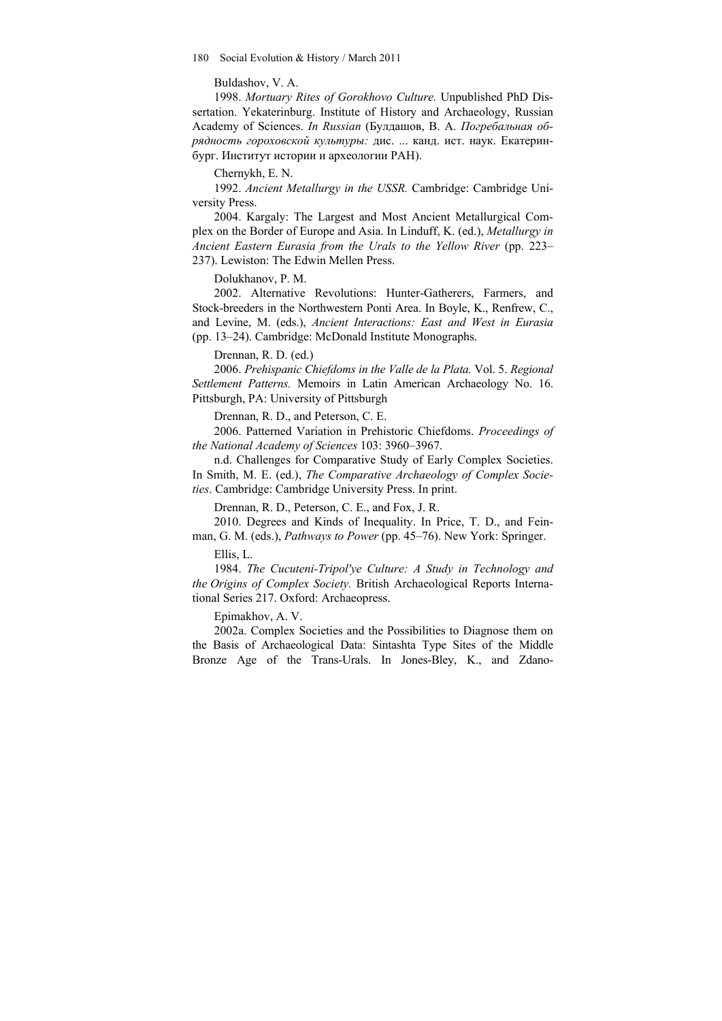#### 180 Social Evolution & History / March 2011

Buldashov, V. A.

1998. *Mortuary Rites of Gorokhovo Culture.* Unpublished PhD Dissertation. Yekaterinburg. Institute of History and Archaeology, Russian Academy of Sciences. *In Russian* (Булдашов, В. А. *Погребальная обрядность гороховской культуры:* дис. ... канд. ист. наук. Екатеринбург. Институт истории и археологии РАН).

Chernykh, E. N.

1992. *Ancient Metallurgy in the USSR.* Cambridge: Cambridge University Press.

2004. Kargaly: The Largest and Most Ancient Metallurgical Complex on the Border of Europe and Asia. In Linduff, K. (ed.), *Metallurgy in Ancient Eastern Eurasia from the Urals to the Yellow River* (pp. 223– 237). Lewiston: The Edwin Mellen Press.

Dolukhanov, P. M.

2002. Alternative Revolutions: Hunter-Gatherers, Farmers, and Stock-breeders in the Northwestern Ponti Area. In Boyle, K., Renfrew, C., and Levine, M. (eds.), *Ancient Interactions: East and West in Eurasia* (pp. 13–24). Cambridge: McDonald Institute Monographs.

Drennan, R. D. (ed.)

2006. *Prehispanic Chiefdoms in the Valle de la Plata.* Vol. 5. *Regional Settlement Patterns.* Memoirs in Latin American Archaeology No. 16. Pittsburgh, PA: University of Pittsburgh

Drennan, R. D., and Peterson, C. E.

2006. Patterned Variation in Prehistoric Chiefdoms. *Proceedings of the National Academy of Sciences* 103: 3960–3967.

n.d. Challenges for Comparative Study of Early Complex Societies. In Smith, M. E. (ed.), *The Comparative Archaeology of Complex Societies*. Cambridge: Cambridge University Press. In print.

Drennan, R. D., Peterson, C. E., and Fox, J. R.

2010. Degrees and Kinds of Inequality. In Price, T. D., and Feinman, G. M. (eds.), *Pathways to Power* (pp. 45–76). New York: Springer.

Ellis, L.

1984. *The Cucuteni-Tripol'ye Culture: A Study in Technology and the Origins of Complex Society.* British Archaeological Reports International Series 217. Oxford: Archaeopress.

Epimakhov, A. V.

2002a. Complex Societies and the Possibilities to Diagnose them on the Basis of Archaeological Data: Sintashta Type Sites of the Middle Bronze Age of the Trans-Urals. In Jones-Bley, K., and Zdano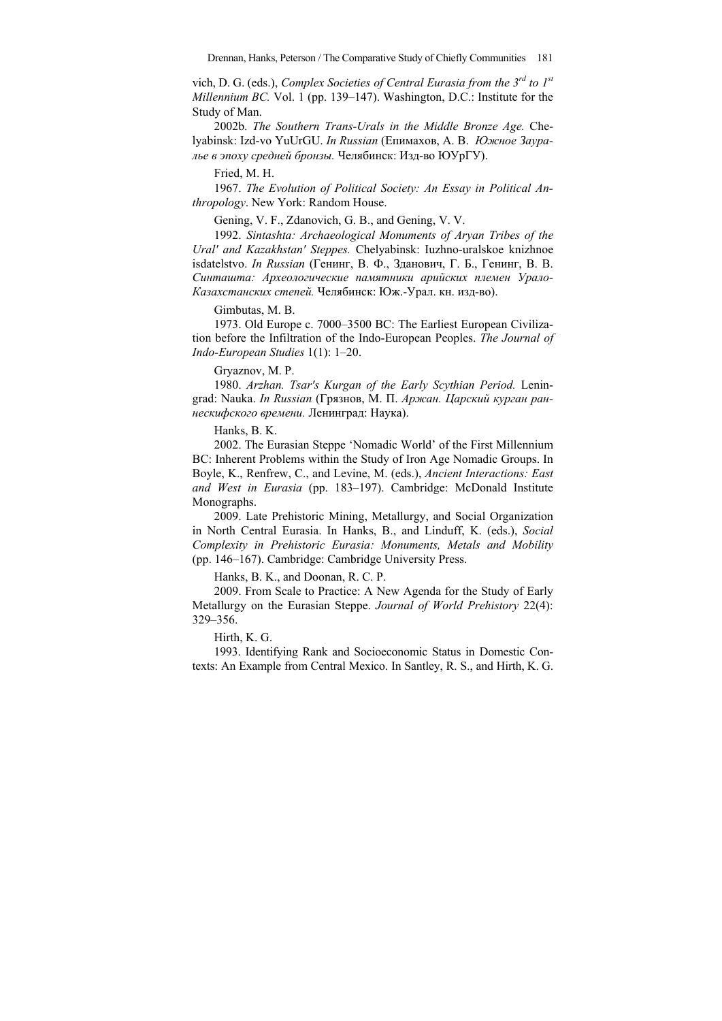vich, D. G. (eds.), *Complex Societies of Central Eurasia from the 3rd to 1st Millennium BC.* Vol. 1 (pp. 139–147). Washington, D.C.: Institute for the Study of Man.

2002b. *The Southern Trans-Urals in the Middle Bronze Age.* Chelyabinsk: Izd-vo YuUrGU. *In Russian* (Епимахов, А. В. *Южное Зауралье в эпоху средней бронзы.* Челябинск: Изд-во ЮУрГУ).

Fried, M. H.

1967. *The Evolution of Political Society: An Essay in Political Anthropology*. New York: Random House.

Gening, V. F., Zdanovich, G. B., and Gening, V. V.

1992. *Sintashta: Archaeological Monuments of Aryan Tribes of the Ural' and Kazakhstan' Steppes.* Chelyabinsk: Iuzhno-uralskoe knizhnoe isdatelstvo. *In Russian* (Генинг, В. Ф., Зданович, Г. Б., Генинг, В. В. *Синташта: Археологические памятники арийских племен Урало-Казахстанских степей.* Челябинск: Юж.-Урал. кн. изд-во).

Gimbutas, M. B.

1973. Old Europe c. 7000–3500 BC: The Earliest European Civilization before the Infiltration of the Indo-European Peoples. *The Journal of Indo-European Studies* 1(1): 1–20.

Gryaznov, M. P.

1980. *Arzhan. Tsar's Kurgan of the Early Scythian Period.* Leningrad: Nauka. *In Russian* (Грязнов, М. П. *Аржан. Царский курган раннескифского времени.* Ленинград: Наука).

Hanks, B. K.

2002. The Eurasian Steppe 'Nomadic World' of the First Millennium BC: Inherent Problems within the Study of Iron Age Nomadic Groups. In Boyle, K., Renfrew, C., and Levine, M. (eds.), *Ancient Interactions: East and West in Eurasia* (pp. 183–197). Cambridge: McDonald Institute Monographs.

2009. Late Prehistoric Mining, Metallurgy, and Social Organization in North Central Eurasia. In Hanks, B., and Linduff, K. (eds.), *Social Complexity in Prehistoric Eurasia: Monuments, Metals and Mobility* (pp. 146–167). Cambridge: Cambridge University Press.

Hanks, B. K., and Doonan, R. C. P.

2009. From Scale to Practice: A New Agenda for the Study of Early Metallurgy on the Eurasian Steppe. *Journal of World Prehistory* 22(4): 329–356.

Hirth, K. G.

1993. Identifying Rank and Socioeconomic Status in Domestic Contexts: An Example from Central Mexico. In Santley, R. S., and Hirth, K. G.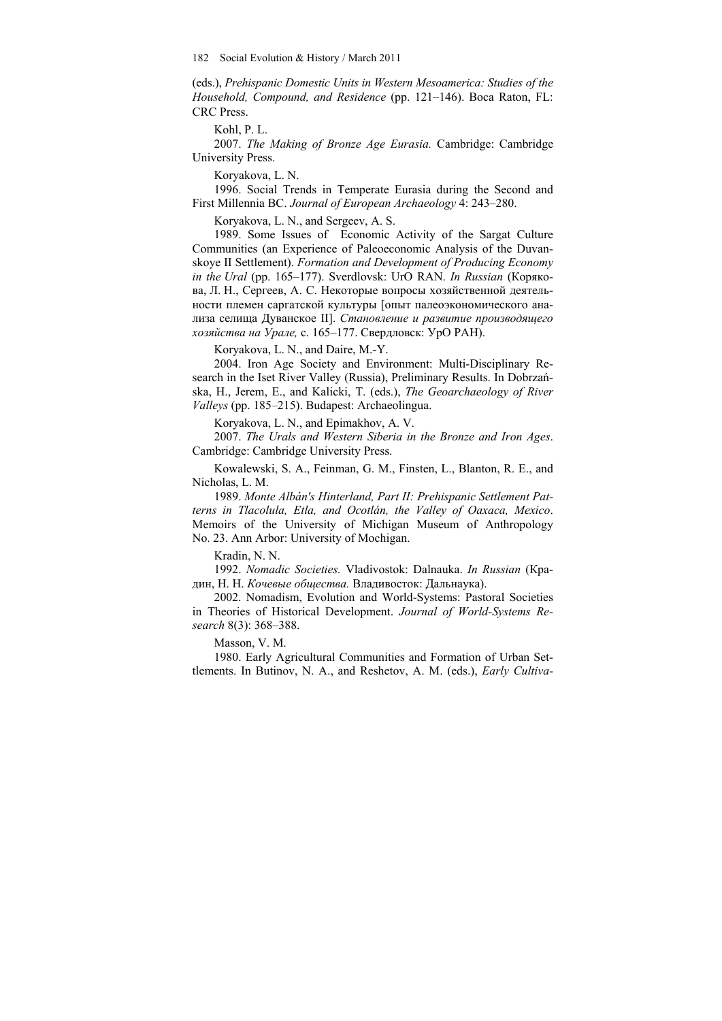(eds.), *Prehispanic Domestic Units in Western Mesoamerica: Studies of the Household, Compound, and Residence* (pp. 121–146). Boca Raton, FL: CRC Press.

Kohl $P L$ .

2007. *The Making of Bronze Age Eurasia.* Cambridge: Cambridge University Press.

Koryakova, L. N.

1996. Social Trends in Temperate Eurasia during the Second and First Millennia BC. *Journal of European Archaeology* 4: 243–280.

Koryakova, L. N., and Sergeev, A. S.

1989. Some Issues of Economic Activity of the Sargat Culture Communities (an Experience of Paleoeconomic Analysis of the Duvanskoye II Settlement). *Formation and Development of Producing Economy in the Ural* (pp. 165–177). Sverdlovsk: UrO RAN. *In Russian* (Корякова, Л. Н., Сергеев, А. С. Некоторые вопросы хозяйственной деятельности племен саргатской культуры [опыт палеоэкономического анализа селища Дуванское II]. *Становление и развитие производящего хозяйства на Урале,* с. 165–177. Свердловск: УрО РАН).

Koryakova, L. N., and Daire, M.-Y.

2004. Iron Age Society and Environment: Multi-Disciplinary Research in the Iset River Valley (Russia), Preliminary Results. In Dobrzańska, H., Jerem, E., and Kalicki, T. (eds.), *The Geoarchaeology of River Valleys* (pp. 185–215). Budapest: Archaeolingua.

Koryakova, L. N., and Epimakhov, A. V.

2007. *The Urals and Western Siberia in the Bronze and Iron Ages*. Cambridge: Cambridge University Press.

Kowalewski, S. A., Feinman, G. M., Finsten, L., Blanton, R. E., and Nicholas, L. M.

1989. *Monte Albán's Hinterland, Part II: Prehispanic Settlement Patterns in Tlacolula, Etla, and Ocotlán, the Valley of Oaxaca, Mexico*. Memoirs of the University of Michigan Museum of Anthropology No. 23. Ann Arbor: University of Mochigan.

Kradin, N. N.

1992. *Nomadic Sociеties.* Vladivostok: Dalnauka. *In Russian* (Крадин, Н. Н. *Кочевые общества.* Владивосток: Дальнаука).

2002. Nomadism, Evolution and World-Systems: Pastoral Societies in Theories of Historical Development. *Journal of World-Systems Research* 8(3): 368–388.

Masson, V. M.

1980. Early Agricultural Communities and Formation of Urban Settlements. In Butinov, N. A., and Reshetov, A. M. (eds.), *Early Cultiva-*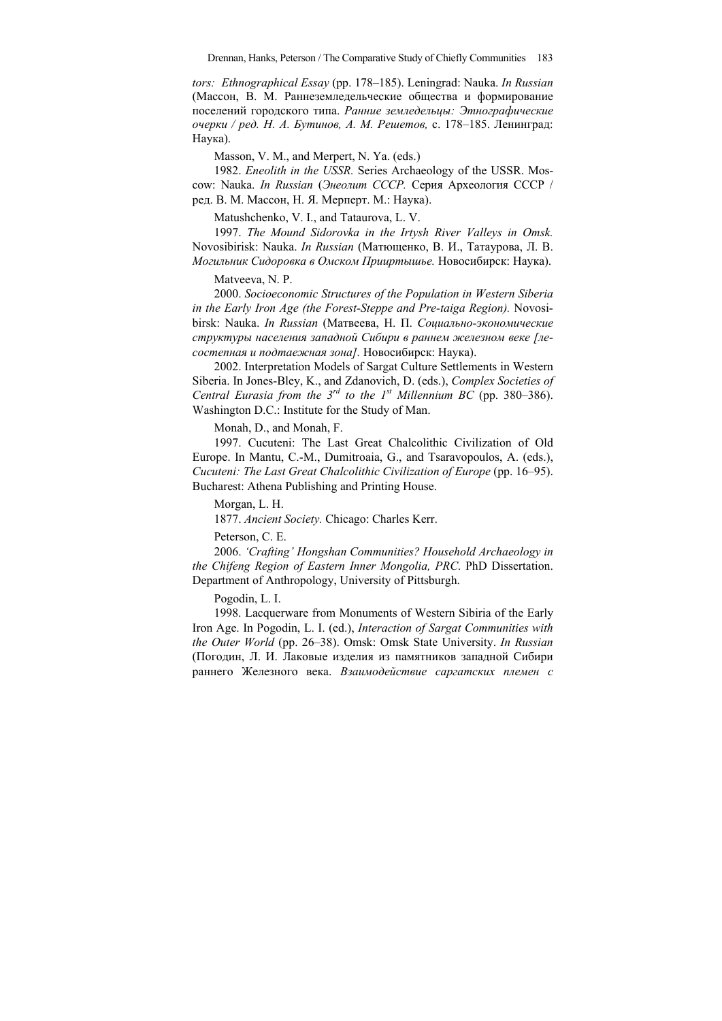*tors: Ethnographical Essay* (pp. 178–185). Leningrad: Nauka. *In Russian* (Массон, В. М. Раннеземледельческие общества и формирование поселений городского типа. *Ранние земледельцы: Этнографические очерки / ред. Н. А. Бутинов, А. М. Решетов,* с. 178–185. Ленинград: Наука).

Masson, V. M., and Merpert, N. Ya. (eds.)

1982. *Eneolith in the USSR.* Series Archaeology of the USSR. Moscow: Nauka. *In Russian* (*Энеолит СССР.* Серия Археология СССР / ред. В. М. Массон, Н. Я. Мерперт. М.: Наука).

Matushchenko, V. I., and Tataurova, L. V.

1997. *The Mound Sidorovka in the Irtysh River Valleys in Omsk.* Novosibirisk: Nauka. *In Russian* (Матющенко, В. И., Татаурова, Л. В. *Могильник Сидоровка в Омском Прииртышье.* Новосибирск: Наука).

Matveeva, N. P.

2000. *Socioeconomic Structures of the Population in Western Siberia in the Early Iron Age (the Forest-Steppe and Pre-taiga Region).* Novosibirsk: Nauka. *In Russian* (Матвеева, Н. П. *Социально-экономические структуры населения западной Сибири в раннем железном веке [лесостепная и подтаежная зона].* Новосибирск: Наука).

2002. Interpretation Models of Sargat Culture Settlements in Western Siberia. In Jones-Bley, K., and Zdanovich, D. (eds.), *Complex Societies of*  Central Eurasia from the  $3^{rd}$  to the  $1^{st}$  Millennium BC (pp. 380–386). Washington D.C.: Institute for the Study of Man.

Monah, D., and Monah, F.

1997. Cucuteni: The Last Great Chalcolithic Civilization of Old Europe. In Mantu, C.-M., Dumitroaia, G., and Tsaravopoulos, A. (eds.), *Cucuteni: The Last Great Chalcolithic Civilization of Europe* (pp. 16–95). Bucharest: Athena Publishing and Printing House.

Morgan, L. H.

1877. *Ancient Society.* Chicago: Charles Kerr.

Peterson, C. E.

2006. *'Crafting' Hongshan Communities? Household Archaeology in the Chifeng Region of Eastern Inner Mongolia, PRC*. PhD Dissertation. Department of Anthropology, University of Pittsburgh.

Pogodin, L. I.

1998. Lacquerware from Monuments of Western Sibiria of the Early Iron Age. In Pogodin, L. I. (ed.), *Interaction of Sargat Communities with the Outer World* (pp. 26–38). Omsk: Omsk State University. *In Russian* (Погодин, Л. И. Лаковые изделия из памятников западной Сибири раннего Железного века. *Взаимодействие саргатских племен с*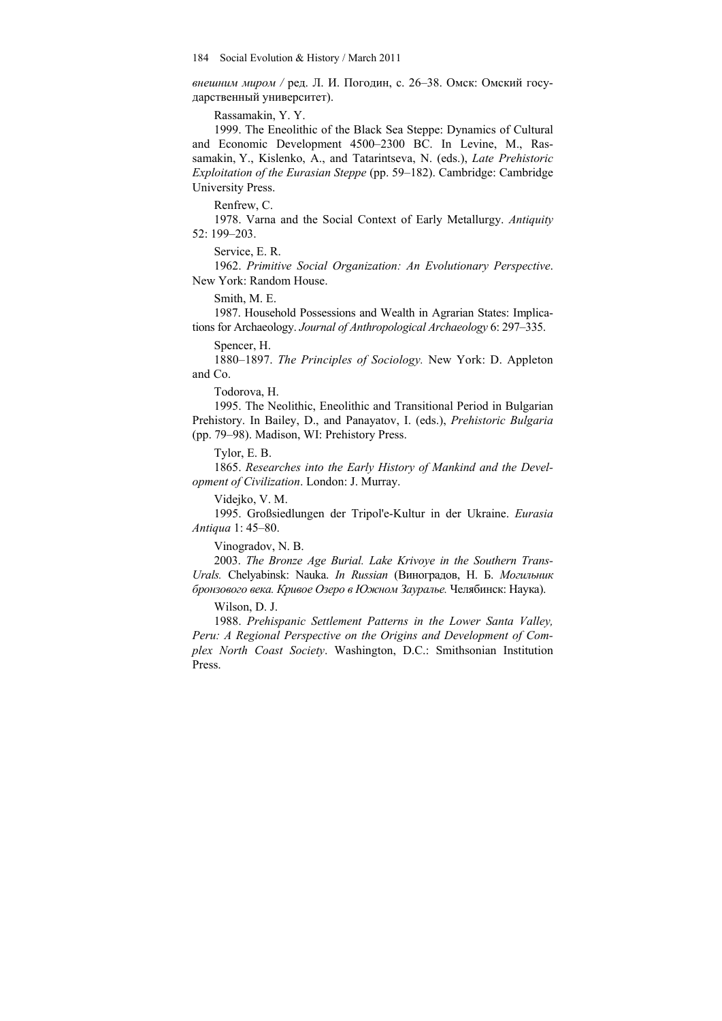*внешним миром /* ред. Л. И. Погодин, с. 26–38. Омск: Омский государственный университет).

Rassamakin, Y. Y.

1999. The Eneolithic of the Black Sea Steppe: Dynamics of Cultural and Economic Development 4500–2300 BC. In Levine, M., Rassamakin, Y., Kislenko, A., and Tatarintseva, N. (eds.), *Late Prehistoric Exploitation of the Eurasian Steppe* (pp. 59–182). Cambridge: Cambridge University Press.

Renfrew, C.

1978. Varna and the Social Context of Early Metallurgy. *Antiquity* 52: 199–203.

Service, E. R.

1962. *Primitive Social Organization: An Evolutionary Perspective*. New York: Random House.

Smith, M. E.

1987. Household Possessions and Wealth in Agrarian States: Implications for Archaeology. *Journal of Anthropological Archaeology* 6: 297–335.

Spencer, H.

1880–1897. *The Principles of Sociology.* New York: D. Appleton and Co.

Todorova, H.

1995. The Neolithic, Eneolithic and Transitional Period in Bulgarian Prehistory. In Bailey, D., and Panayatov, I. (eds.), *Prehistoric Bulgaria*  (pp. 79–98). Madison, WI: Prehistory Press.

Tylor, E. B.

1865. *Researches into the Early History of Mankind and the Development of Civilization*. London: J. Murray.

Videjko, V. M.

1995. Großsiedlungen der Tripol'e-Kultur in der Ukraine. *Eurasia Antiqua* 1: 45–80.

Vinogradov, N. B.

2003. *The Bronze Age Burial. Lake Krivoye in the Southern Trans-Urals.* Chelyabinsk: Nauka. *In Russian* (Виноградов, Н. Б. *Могильник бронзового века. Кривое Озеро в Южном Зауралье.* Челябинск: Наука).

Wilson, D. J.

1988. *Prehispanic Settlement Patterns in the Lower Santa Valley, Peru: A Regional Perspective on the Origins and Development of Complex North Coast Society*. Washington, D.C.: Smithsonian Institution Press.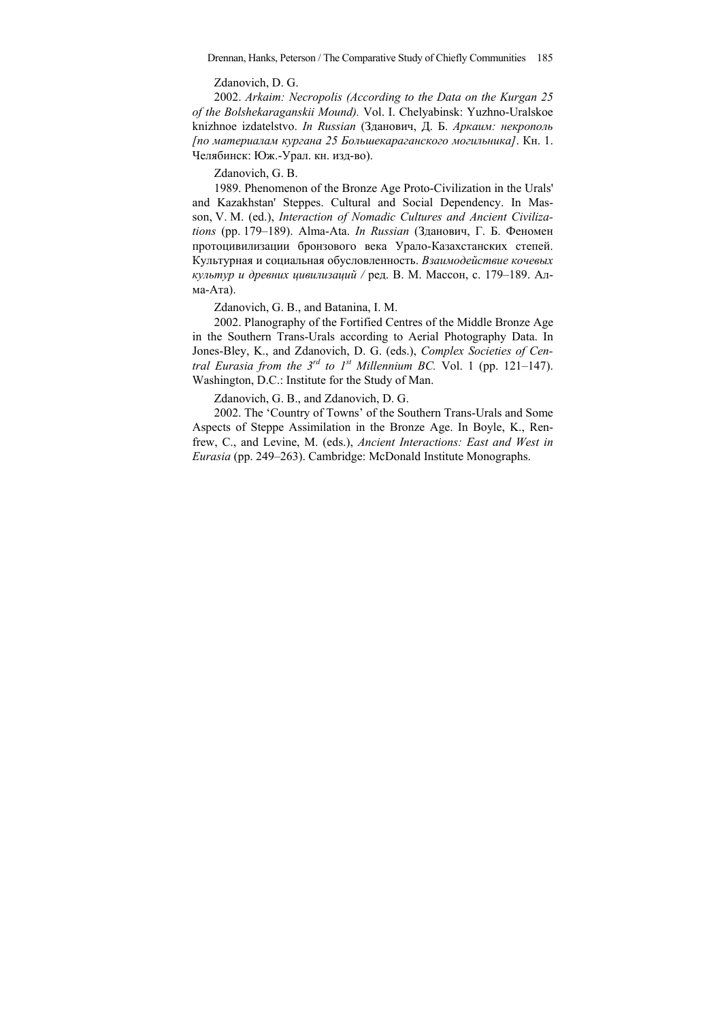#### Zdanovich, D. G.

2002. *Arkaim: Necropolis (According to the Data on the Kurgan 25 of the Bolshekaraganskii Mound).* Vol. I. Chelyabinsk: Yuzhno-Uralskoe knizhnoe izdatelstvo. *In Russian* (Зданович, Д. Б. *Аркаим: некрополь [по материалам кургана 25 Большекараганского могильника]*. Кн. 1. Челябинск: Юж.-Урал. кн. изд-во).

Zdanovich, G. B.

1989. Phenomenon of the Bronze Age Proto-Civilization in the Urals' and Kazakhstan' Steppes. Cultural and Social Dependency. In Masson, V. M. (ed.), *Interaction of Nomadic Cultures and Ancient Civilizations* (pp. 179–189). Alma-Ata. *In Russian* (Зданович, Г. Б. Феномен протоцивилизации бронзового века Урало-Казахстанских степей. Культурная и социальная обусловленность. *Взаимодействие кочевых культур и древних цивилизаций /* ред. В. М. Массон, с. 179–189. Алма-Ата).

Zdanovich, G. B., and Batanina, I. M.

2002. Planography of the Fortified Centres of the Middle Bronze Age in the Southern Trans-Urals according to Aerial Photography Data. In Jones-Bley, K., and Zdanovich, D. G. (eds.), *Complex Societies of Central Eurasia from the 3<sup>rd</sup> to 1<sup>st</sup> Millennium BC.* Vol. 1 (pp. 121–147). Washington, D.C.: Institute for the Study of Man.

Zdanovich, G. B., and Zdanovich, D. G.

2002. The 'Country of Towns' of the Southern Trans-Urals and Some Aspects of Steppe Assimilation in the Bronze Age. In Boyle, K., Renfrew, C., and Levine, M. (eds.), *Ancient Interactions: East and West in Eurasia* (pp. 249–263). Cambridge: McDonald Institute Monographs.